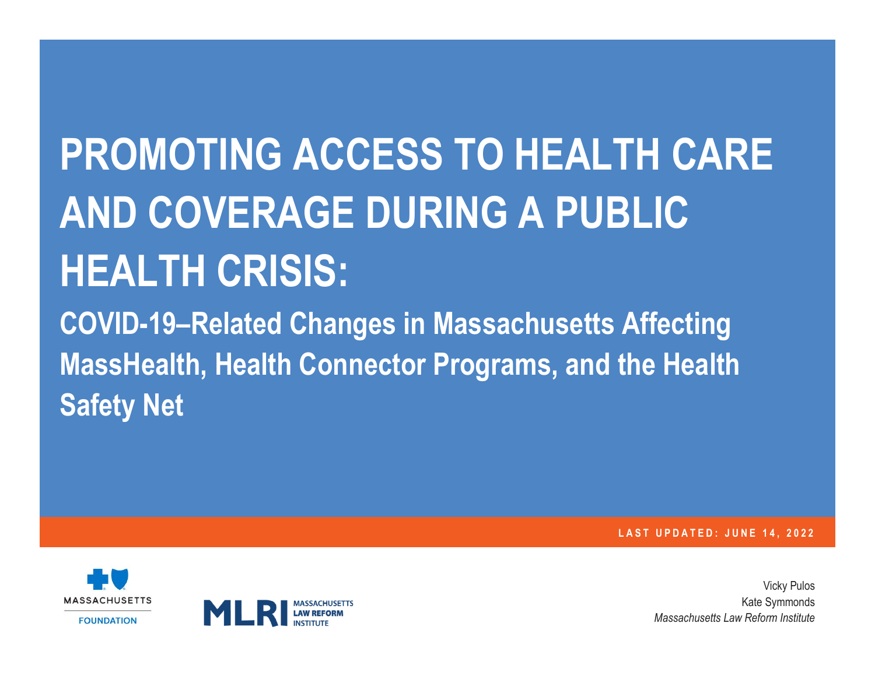## **PROMOTING ACCESS TO HEALTH CARE AND COVERAGE DURING A PUBLIC HEALTH CRISIS:**

**COVID-19–Related Changes in Massachusetts Affecting MassHealth, Health Connector Programs, and the Health Safety Net** 

**L A S T U P D A T E D : J U N E 1 4 , 2 0 2 2**





Vicky Pulos Kate Symmonds *Massachusetts Law Reform Institute*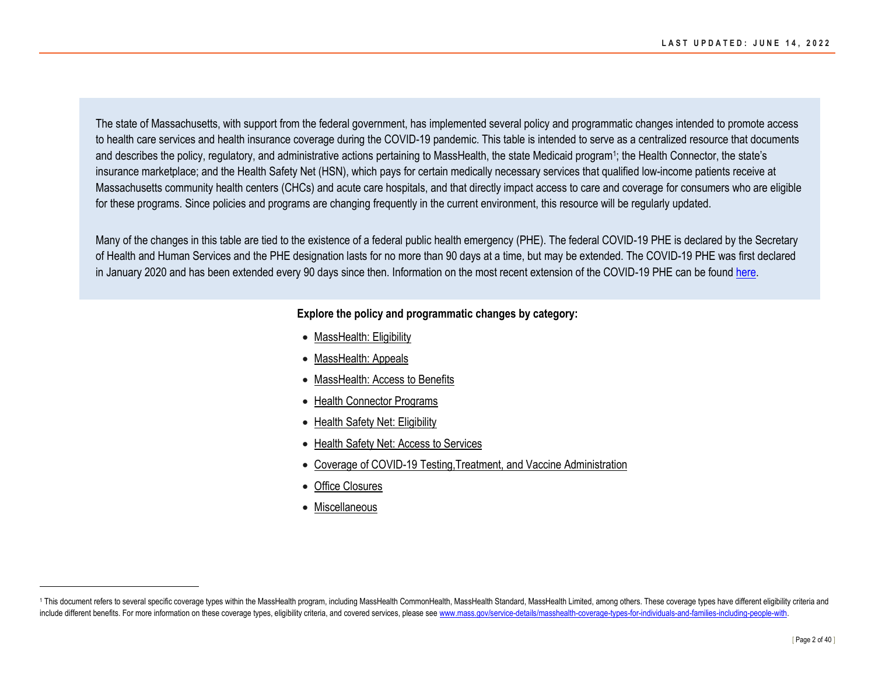The state of Massachusetts, with support from the federal government, has implemented several policy and programmatic changes intended to promote access to health care services and health insurance coverage during the COVID-19 pandemic. This table is intended to serve as a centralized resource that documents and describes the policy, regulatory, and administrative actions pertaining to MassHealth, the state Medicaid program<sup>1</sup>; the Health Connector, the state's insurance marketplace; and the Health Safety Net (HSN), which pays for certain medically necessary services that qualified low-income patients receive at Massachusetts community health centers (CHCs) and acute care hospitals, and that directly impact access to care and coverage for consumers who are eligible for these programs. Since policies and programs are changing frequently in the current environment, this resource will be regularly updated.

Many of the changes in this table are tied to the existence of a federal public health emergency (PHE). The federal COVID-19 PHE is declared by the Secretary of Health and Human Services and the PHE designation lasts for no more than 90 days at a time, but may be extended. The COVID-19 PHE was first declared in January 2020 and has been extended every 90 days since then. Information on the most recent extension of the COVID-19 PHE can be found [here.](https://www.phe.gov/emergency/news/healthactions/phe/Pages/default.aspx)

## **Explore the policy and programmatic changes by category:**

- [MassHealth: Eligibility](#page-2-0)
- [MassHealth: Appeals](#page-10-0)
- [MassHealth: Access to Benefits](#page-11-0)
- [Health Connector Programs](#page-19-0)
- [Health Safety Net: Eligibility](#page-26-0)
- [Health Safety Net: Access to Services](#page-30-0)
- [Coverage of COVID-19 Testing,Treatment, and Vaccine Administration](#page-31-0)
- [Office Closures](#page-35-0)
- [Miscellaneous](#page-35-1)

<sup>1</sup> This document refers to several specific coverage types within the MassHealth program, including MassHealth CommonHealth, MassHealth Standard, MassHealth Limited, among others. These coverage types have different eligibi include different benefits. For more information on these coverage types, eligibility criteria, and covered services, please see www.mass.gov/service-details/masshealth-coverage-types-for-individuals-and-families-including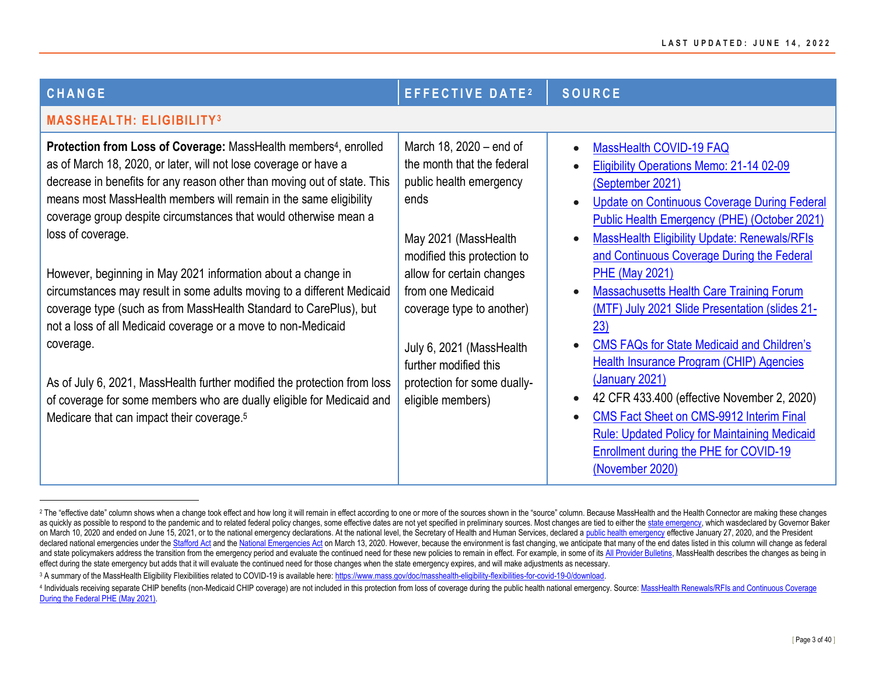<span id="page-2-1"></span><span id="page-2-0"></span>

| CHANGE                                                                                                                                                                                                                                                                                                                                                                                                                                                                                                                                                                                                                                                                     | <b>EFFECTIVE DATE2</b>                                                                                                                                                                                                         | <b>SOURCE</b>                                                                                                                                                                                                                                                                                                                                                                                                                                                                                       |
|----------------------------------------------------------------------------------------------------------------------------------------------------------------------------------------------------------------------------------------------------------------------------------------------------------------------------------------------------------------------------------------------------------------------------------------------------------------------------------------------------------------------------------------------------------------------------------------------------------------------------------------------------------------------------|--------------------------------------------------------------------------------------------------------------------------------------------------------------------------------------------------------------------------------|-----------------------------------------------------------------------------------------------------------------------------------------------------------------------------------------------------------------------------------------------------------------------------------------------------------------------------------------------------------------------------------------------------------------------------------------------------------------------------------------------------|
| <b>MASSHEALTH: ELIGIBILITY3</b>                                                                                                                                                                                                                                                                                                                                                                                                                                                                                                                                                                                                                                            |                                                                                                                                                                                                                                |                                                                                                                                                                                                                                                                                                                                                                                                                                                                                                     |
| Protection from Loss of Coverage: MassHealth members <sup>4</sup> , enrolled<br>as of March 18, 2020, or later, will not lose coverage or have a<br>decrease in benefits for any reason other than moving out of state. This<br>means most MassHealth members will remain in the same eligibility<br>coverage group despite circumstances that would otherwise mean a<br>loss of coverage.<br>However, beginning in May 2021 information about a change in<br>circumstances may result in some adults moving to a different Medicaid<br>coverage type (such as from MassHealth Standard to CarePlus), but<br>not a loss of all Medicaid coverage or a move to non-Medicaid | March 18, 2020 – end of<br>the month that the federal<br>public health emergency<br>ends<br>May 2021 (MassHealth<br>modified this protection to<br>allow for certain changes<br>from one Medicaid<br>coverage type to another) | MassHealth COVID-19 FAQ<br>$\bullet$<br>Eligibility Operations Memo: 21-14 02-09<br>(September 2021)<br><b>Update on Continuous Coverage During Federal</b><br>$\bullet$<br><b>Public Health Emergency (PHE) (October 2021)</b><br><b>MassHealth Eligibility Update: Renewals/RFIs</b><br>$\bullet$<br>and Continuous Coverage During the Federal<br><b>PHE (May 2021)</b><br><b>Massachusetts Health Care Training Forum</b><br>$\bullet$<br>(MTF) July 2021 Slide Presentation (slides 21-<br>23) |
| coverage.<br>As of July 6, 2021, MassHealth further modified the protection from loss<br>of coverage for some members who are dually eligible for Medicaid and<br>Medicare that can impact their coverage. <sup>5</sup>                                                                                                                                                                                                                                                                                                                                                                                                                                                    | July 6, 2021 (MassHealth<br>further modified this<br>protection for some dually-<br>eligible members)                                                                                                                          | <b>CMS FAQs for State Medicaid and Children's</b><br>$\bullet$<br><b>Health Insurance Program (CHIP) Agencies</b><br><u>(January 2021)</u><br>42 CFR 433.400 (effective November 2, 2020)<br><b>CMS Fact Sheet on CMS-9912 Interim Final</b><br><b>Rule: Updated Policy for Maintaining Medicaid</b><br><b>Enrollment during the PHE for COVID-19</b><br>(November 2020)                                                                                                                            |

<sup>&</sup>lt;sup>2</sup> The "effective date" column shows when a change took effect and how long it will remain in effect according to one or more of the sources shown in the "source" column. Because MassHealth and the Health Connector are ma as quickly as possible to respond to the pandemic and to related federal policy changes, some effective dates are not vet specified in preliminary sources. Most changes are tied to either th[e state emergency,](https://www.mass.gov/executive-orders/no-591-declaration-of-a-state-of-emergency-to-respond-to-covid-19) which wasdecl on March 10, 2020 and ended on June 15, 2021, or to the national emergency declarations. At the national level, the Secretary of Health and Human Services, declared a [public health emergency](https://www.hhs.gov/about/news/2020/01/31/secretary-azar-declares-public-health-emergency-us-2019-novel-coronavirus.html) effective January 27, 2020, and declared national emergencies under th[e Stafford Act](https://www.whitehouse.gov/briefings-statements/letter-president-donald-j-trump-emergency-determination-stafford-act/) and th[e National Emergencies Act](https://www.whitehouse.gov/presidential-actions/proclamation-declaring-national-emergency-concerning-novel-coronavirus-disease-covid-19-outbreak/) on March 13, 2020. However, because the environment is fast changing, we anticipate that many of the end dates listed in this column wil and state policymakers address the transition from the emergency period and evaluate the continued need for these new policies to remain in effect. For example, in some of it[s All Provider Bulletins,](https://www.mass.gov/info-details/masshealth-coronavirus-disease-2019-covid-19-providers#guidance-for-all-providers-) MassHealth describes t effect during the state emergency but adds that it will evaluate the continued need for those changes when the state emergency expires, and will make adjustments as necessary.

<sup>&</sup>lt;sup>3</sup> A summary of the MassHealth Eligibility Flexibilities related to COVID-19 is available here: https://www.mass.gov/doc/masshealth-eligibility-flexibilities-for-covid-19-0/download.

<sup>4</sup> Individuals receiving separate CHIP benefits (non-Medicaid CHIP coverage) are not included in this protection from loss of coverage during the public health national emergency. Source: MassHealth Renewals/RFIs and Contin [During the Federal PHE \(May 2021\).](https://www.mass.gov/doc/masshealth-eligibility-update-may-2021-renewalsrfis-and-continuous-coverage-during-the-federal-public-health-emergency-0/download)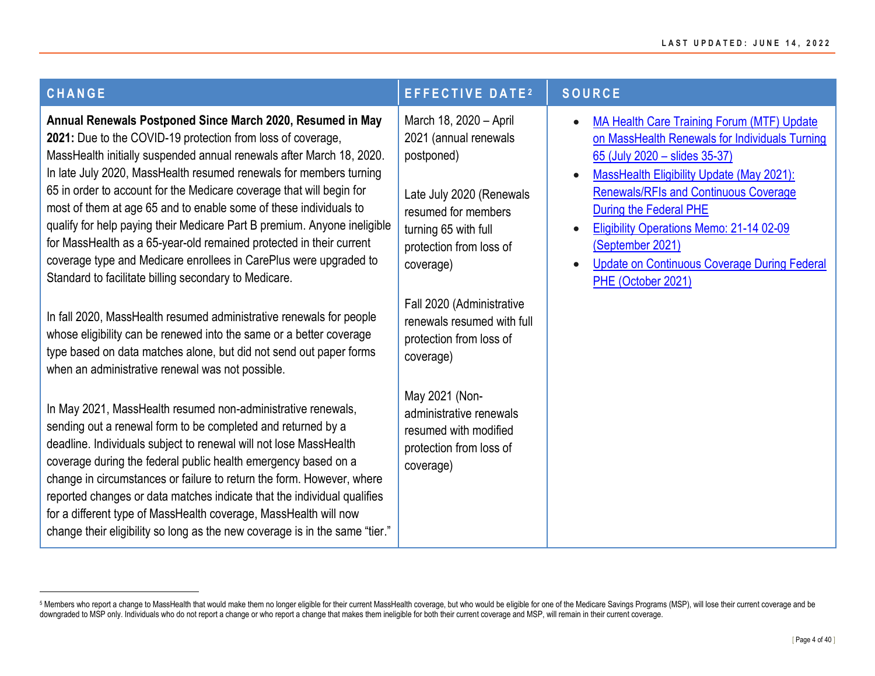| <b>CHANGE</b>                                                                                                                                                                                                                                                                                                                                                                                                                                                                                                                                                                                                                                                                                         | EFFECTIVE DATE <sup>2</sup>                                                                                                                                                      | <b>SOURCE</b>                                                                                                                                                                                                                                                                                                                                                                                            |
|-------------------------------------------------------------------------------------------------------------------------------------------------------------------------------------------------------------------------------------------------------------------------------------------------------------------------------------------------------------------------------------------------------------------------------------------------------------------------------------------------------------------------------------------------------------------------------------------------------------------------------------------------------------------------------------------------------|----------------------------------------------------------------------------------------------------------------------------------------------------------------------------------|----------------------------------------------------------------------------------------------------------------------------------------------------------------------------------------------------------------------------------------------------------------------------------------------------------------------------------------------------------------------------------------------------------|
| Annual Renewals Postponed Since March 2020, Resumed in May<br>2021: Due to the COVID-19 protection from loss of coverage,<br>MassHealth initially suspended annual renewals after March 18, 2020.<br>In late July 2020, MassHealth resumed renewals for members turning<br>65 in order to account for the Medicare coverage that will begin for<br>most of them at age 65 and to enable some of these individuals to<br>qualify for help paying their Medicare Part B premium. Anyone ineligible<br>for MassHealth as a 65-year-old remained protected in their current<br>coverage type and Medicare enrollees in CarePlus were upgraded to<br>Standard to facilitate billing secondary to Medicare. | March 18, 2020 - April<br>2021 (annual renewals<br>postponed)<br>Late July 2020 (Renewals<br>resumed for members<br>turning 65 with full<br>protection from loss of<br>coverage) | <b>MA Health Care Training Forum (MTF) Update</b><br>on MassHealth Renewals for Individuals Turning<br>65 (July 2020 - slides 35-37)<br>MassHealth Eligibility Update (May 2021):<br><b>Renewals/RFIs and Continuous Coverage</b><br>During the Federal PHE<br>Eligibility Operations Memo: 21-14 02-09<br>(September 2021)<br><b>Update on Continuous Coverage During Federal</b><br>PHE (October 2021) |
| In fall 2020, MassHealth resumed administrative renewals for people<br>whose eligibility can be renewed into the same or a better coverage<br>type based on data matches alone, but did not send out paper forms<br>when an administrative renewal was not possible.                                                                                                                                                                                                                                                                                                                                                                                                                                  | Fall 2020 (Administrative<br>renewals resumed with full<br>protection from loss of<br>coverage)                                                                                  |                                                                                                                                                                                                                                                                                                                                                                                                          |
| In May 2021, MassHealth resumed non-administrative renewals,<br>sending out a renewal form to be completed and returned by a<br>deadline. Individuals subject to renewal will not lose MassHealth<br>coverage during the federal public health emergency based on a<br>change in circumstances or failure to return the form. However, where<br>reported changes or data matches indicate that the individual qualifies<br>for a different type of MassHealth coverage, MassHealth will now<br>change their eligibility so long as the new coverage is in the same "tier."                                                                                                                            | May 2021 (Non-<br>administrative renewals<br>resumed with modified<br>protection from loss of<br>coverage)                                                                       |                                                                                                                                                                                                                                                                                                                                                                                                          |

<sup>5</sup> Members who report a change to MassHealth that would make them no longer eligible for their current MassHealth coverage, but who would be eligible for one of the Medicare Savings Programs (MSP), will lose their current c downgraded to MSP only. Individuals who do not report a change or who report a change that makes them ineligible for both their current coverage and MSP, will remain in their current coverage.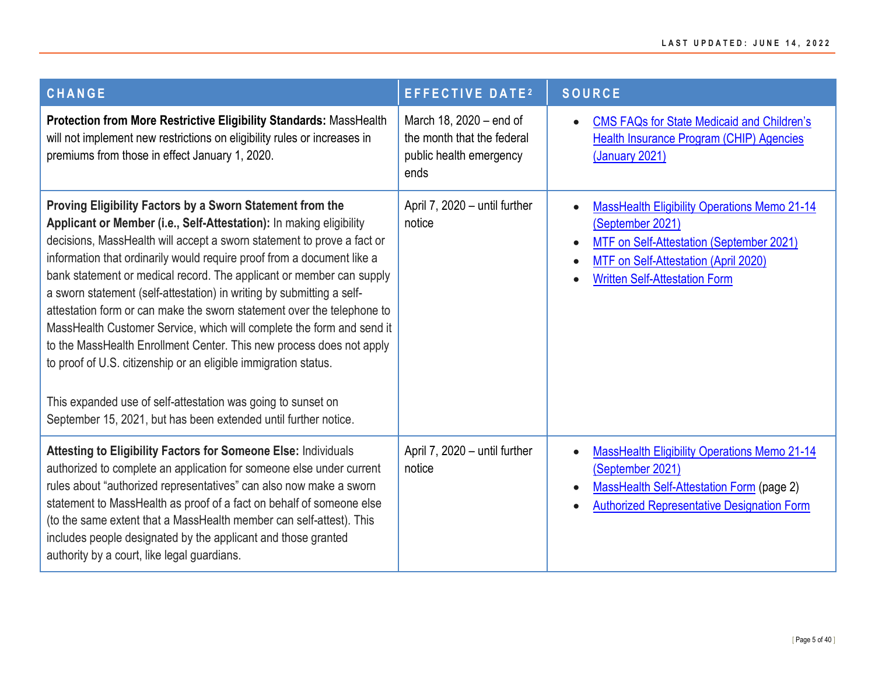| <b>CHANGE</b>                                                                                                                                                                                                                                                                                                                                                                                                                                                                                                                                                                                                                                                                                                                                                                                                                                                          | <b>EFFECTIVE DATE<sup>2</sup></b>                                                        | <b>SOURCE</b>                                                                                                                                                                                                    |
|------------------------------------------------------------------------------------------------------------------------------------------------------------------------------------------------------------------------------------------------------------------------------------------------------------------------------------------------------------------------------------------------------------------------------------------------------------------------------------------------------------------------------------------------------------------------------------------------------------------------------------------------------------------------------------------------------------------------------------------------------------------------------------------------------------------------------------------------------------------------|------------------------------------------------------------------------------------------|------------------------------------------------------------------------------------------------------------------------------------------------------------------------------------------------------------------|
| Protection from More Restrictive Eligibility Standards: MassHealth<br>will not implement new restrictions on eligibility rules or increases in<br>premiums from those in effect January 1, 2020.                                                                                                                                                                                                                                                                                                                                                                                                                                                                                                                                                                                                                                                                       | March 18, 2020 - end of<br>the month that the federal<br>public health emergency<br>ends | <b>CMS FAQs for State Medicaid and Children's</b><br>$\bullet$<br>Health Insurance Program (CHIP) Agencies<br>(January 2021)                                                                                     |
| Proving Eligibility Factors by a Sworn Statement from the<br>Applicant or Member (i.e., Self-Attestation): In making eligibility<br>decisions, MassHealth will accept a sworn statement to prove a fact or<br>information that ordinarily would require proof from a document like a<br>bank statement or medical record. The applicant or member can supply<br>a sworn statement (self-attestation) in writing by submitting a self-<br>attestation form or can make the sworn statement over the telephone to<br>MassHealth Customer Service, which will complete the form and send it<br>to the MassHealth Enrollment Center. This new process does not apply<br>to proof of U.S. citizenship or an eligible immigration status.<br>This expanded use of self-attestation was going to sunset on<br>September 15, 2021, but has been extended until further notice. | April 7, 2020 - until further<br>notice                                                  | <b>MassHealth Eligibility Operations Memo 21-14</b><br>(September 2021)<br>MTF on Self-Attestation (September 2021)<br>$\bullet$<br>MTF on Self-Attestation (April 2020)<br><b>Written Self-Attestation Form</b> |
| Attesting to Eligibility Factors for Someone Else: Individuals<br>authorized to complete an application for someone else under current<br>rules about "authorized representatives" can also now make a sworn<br>statement to MassHealth as proof of a fact on behalf of someone else<br>(to the same extent that a MassHealth member can self-attest). This<br>includes people designated by the applicant and those granted<br>authority by a court, like legal guardians.                                                                                                                                                                                                                                                                                                                                                                                            | April 7, 2020 - until further<br>notice                                                  | <b>MassHealth Eligibility Operations Memo 21-14</b><br>$\bullet$<br>(September 2021)<br><b>MassHealth Self-Attestation Form (page 2)</b><br>$\bullet$<br><b>Authorized Representative Designation Form</b>       |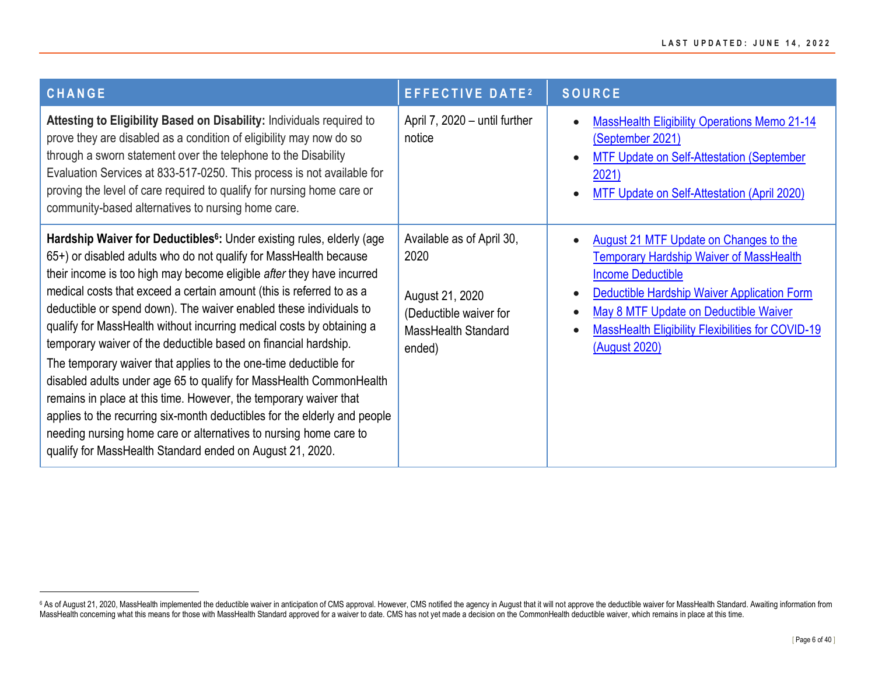| CHANGE                                                                                                                                                                                                                                                                                                                                                                                                                                                                                                                                                                                                                                                                                                                                                                                                                                                                                                                                                   | <b>EFFECTIVE DATE2</b>                                                                                          | <b>SOURCE</b>                                                                                                                                                                                                                                                                                                 |
|----------------------------------------------------------------------------------------------------------------------------------------------------------------------------------------------------------------------------------------------------------------------------------------------------------------------------------------------------------------------------------------------------------------------------------------------------------------------------------------------------------------------------------------------------------------------------------------------------------------------------------------------------------------------------------------------------------------------------------------------------------------------------------------------------------------------------------------------------------------------------------------------------------------------------------------------------------|-----------------------------------------------------------------------------------------------------------------|---------------------------------------------------------------------------------------------------------------------------------------------------------------------------------------------------------------------------------------------------------------------------------------------------------------|
| Attesting to Eligibility Based on Disability: Individuals required to<br>prove they are disabled as a condition of eligibility may now do so<br>through a sworn statement over the telephone to the Disability<br>Evaluation Services at 833-517-0250. This process is not available for<br>proving the level of care required to qualify for nursing home care or<br>community-based alternatives to nursing home care.                                                                                                                                                                                                                                                                                                                                                                                                                                                                                                                                 | April 7, 2020 - until further<br>notice                                                                         | <b>MassHealth Eligibility Operations Memo 21-14</b><br>(September 2021)<br><b>MTF Update on Self-Attestation (September</b><br>2021)<br>MTF Update on Self-Attestation (April 2020)                                                                                                                           |
| Hardship Waiver for Deductibles <sup>6</sup> : Under existing rules, elderly (age<br>65+) or disabled adults who do not qualify for MassHealth because<br>their income is too high may become eligible after they have incurred<br>medical costs that exceed a certain amount (this is referred to as a<br>deductible or spend down). The waiver enabled these individuals to<br>qualify for MassHealth without incurring medical costs by obtaining a<br>temporary waiver of the deductible based on financial hardship.<br>The temporary waiver that applies to the one-time deductible for<br>disabled adults under age 65 to qualify for MassHealth CommonHealth<br>remains in place at this time. However, the temporary waiver that<br>applies to the recurring six-month deductibles for the elderly and people<br>needing nursing home care or alternatives to nursing home care to<br>qualify for MassHealth Standard ended on August 21, 2020. | Available as of April 30,<br>2020<br>August 21, 2020<br>(Deductible waiver for<br>MassHealth Standard<br>ended) | <b>August 21 MTF Update on Changes to the</b><br>$\bullet$<br><b>Temporary Hardship Waiver of MassHealth</b><br><b>Income Deductible</b><br>Deductible Hardship Waiver Application Form<br>May 8 MTF Update on Deductible Waiver<br><b>MassHealth Eligibility Flexibilities for COVID-19</b><br>(August 2020) |

<sup>&</sup>lt;sup>6</sup> As of August 21, 2020, MassHealth implemented the deductible waiver in anticipation of CMS approval. However, CMS notified the agency in August that it will not approve the deductible waiver for MassHealth Standard. Aw MassHealth concerning what this means for those with MassHealth Standard approved for a waiver to date. CMS has not yet made a decision on the CommonHealth deductible waiver, which remains in place at this time.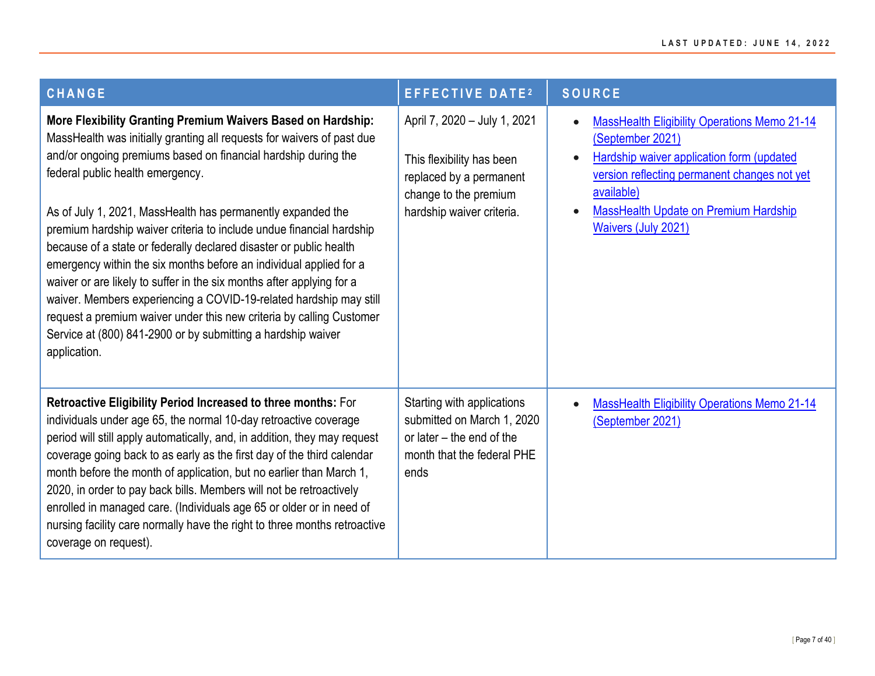| <b>CHANGE</b>                                                                                                                                                                                                                                                                                                                                                                                                                                                                                                                                                                                                                                                                                                                                                                                                                          | <b>EFFECTIVE DATE<sup>2</sup></b>                                                                                                          | <b>SOURCE</b>                                                                                                                                                                                                                                                    |
|----------------------------------------------------------------------------------------------------------------------------------------------------------------------------------------------------------------------------------------------------------------------------------------------------------------------------------------------------------------------------------------------------------------------------------------------------------------------------------------------------------------------------------------------------------------------------------------------------------------------------------------------------------------------------------------------------------------------------------------------------------------------------------------------------------------------------------------|--------------------------------------------------------------------------------------------------------------------------------------------|------------------------------------------------------------------------------------------------------------------------------------------------------------------------------------------------------------------------------------------------------------------|
| More Flexibility Granting Premium Waivers Based on Hardship:<br>MassHealth was initially granting all requests for waivers of past due<br>and/or ongoing premiums based on financial hardship during the<br>federal public health emergency.<br>As of July 1, 2021, MassHealth has permanently expanded the<br>premium hardship waiver criteria to include undue financial hardship<br>because of a state or federally declared disaster or public health<br>emergency within the six months before an individual applied for a<br>waiver or are likely to suffer in the six months after applying for a<br>waiver. Members experiencing a COVID-19-related hardship may still<br>request a premium waiver under this new criteria by calling Customer<br>Service at (800) 841-2900 or by submitting a hardship waiver<br>application. | April 7, 2020 - July 1, 2021<br>This flexibility has been<br>replaced by a permanent<br>change to the premium<br>hardship waiver criteria. | <b>MassHealth Eligibility Operations Memo 21-14</b><br>(September 2021)<br>Hardship waiver application form (updated<br>version reflecting permanent changes not yet<br>available)<br><b>MassHealth Update on Premium Hardship</b><br><b>Waivers (July 2021)</b> |
| Retroactive Eligibility Period Increased to three months: For<br>individuals under age 65, the normal 10-day retroactive coverage<br>period will still apply automatically, and, in addition, they may request<br>coverage going back to as early as the first day of the third calendar<br>month before the month of application, but no earlier than March 1,<br>2020, in order to pay back bills. Members will not be retroactively<br>enrolled in managed care. (Individuals age 65 or older or in need of<br>nursing facility care normally have the right to three months retroactive<br>coverage on request).                                                                                                                                                                                                                   | Starting with applications<br>submitted on March 1, 2020<br>or later – the end of the<br>month that the federal PHE<br>ends                | <b>MassHealth Eligibility Operations Memo 21-14</b><br>(September 2021)                                                                                                                                                                                          |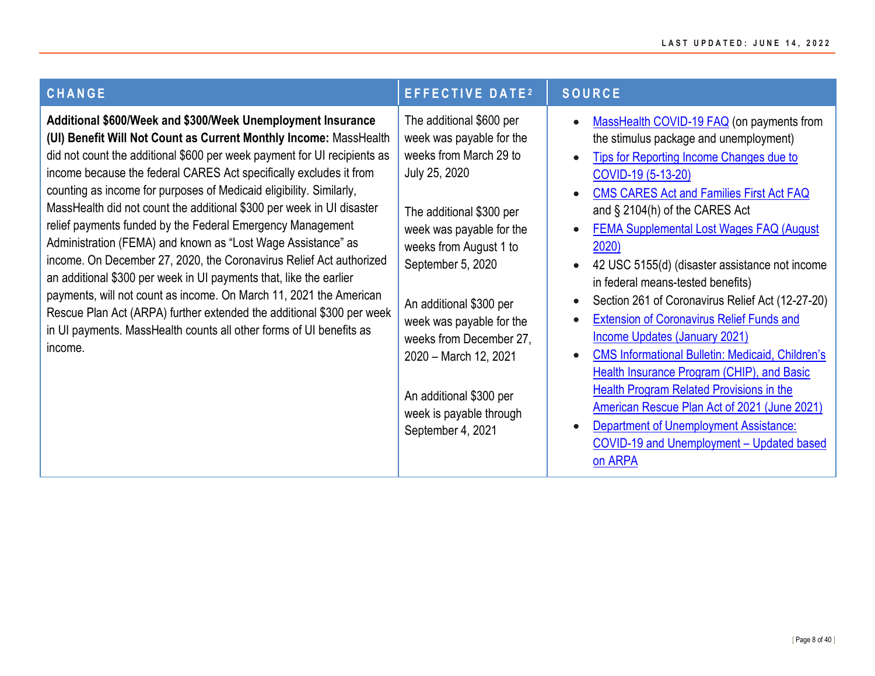| <b>CHANGE</b>                                                                                                                                                                                                                                                                                                                                                                                                                                                                                                                                                                                                                                                                                                                                                                                                                                                                                                                                  | <b>EFFECTIVE DATE2</b>                                                                                                                                                                                                                                                                                                                                                                       | <b>SOURCE</b>                                                                                                                                                                                                                                                                                                                                                                                                                                                                                                                                                                                                                                                                                                                                                                                                                                                                                                                                                                                      |
|------------------------------------------------------------------------------------------------------------------------------------------------------------------------------------------------------------------------------------------------------------------------------------------------------------------------------------------------------------------------------------------------------------------------------------------------------------------------------------------------------------------------------------------------------------------------------------------------------------------------------------------------------------------------------------------------------------------------------------------------------------------------------------------------------------------------------------------------------------------------------------------------------------------------------------------------|----------------------------------------------------------------------------------------------------------------------------------------------------------------------------------------------------------------------------------------------------------------------------------------------------------------------------------------------------------------------------------------------|----------------------------------------------------------------------------------------------------------------------------------------------------------------------------------------------------------------------------------------------------------------------------------------------------------------------------------------------------------------------------------------------------------------------------------------------------------------------------------------------------------------------------------------------------------------------------------------------------------------------------------------------------------------------------------------------------------------------------------------------------------------------------------------------------------------------------------------------------------------------------------------------------------------------------------------------------------------------------------------------------|
| Additional \$600/Week and \$300/Week Unemployment Insurance<br>(UI) Benefit Will Not Count as Current Monthly Income: MassHealth<br>did not count the additional \$600 per week payment for UI recipients as<br>income because the federal CARES Act specifically excludes it from<br>counting as income for purposes of Medicaid eligibility. Similarly,<br>MassHealth did not count the additional \$300 per week in UI disaster<br>relief payments funded by the Federal Emergency Management<br>Administration (FEMA) and known as "Lost Wage Assistance" as<br>income. On December 27, 2020, the Coronavirus Relief Act authorized<br>an additional \$300 per week in UI payments that, like the earlier<br>payments, will not count as income. On March 11, 2021 the American<br>Rescue Plan Act (ARPA) further extended the additional \$300 per week<br>in UI payments. MassHealth counts all other forms of UI benefits as<br>income. | The additional \$600 per<br>week was payable for the<br>weeks from March 29 to<br>July 25, 2020<br>The additional \$300 per<br>week was payable for the<br>weeks from August 1 to<br>September 5, 2020<br>An additional \$300 per<br>week was payable for the<br>weeks from December 27,<br>2020 - March 12, 2021<br>An additional \$300 per<br>week is payable through<br>September 4, 2021 | MassHealth COVID-19 FAQ (on payments from<br>$\bullet$<br>the stimulus package and unemployment)<br><b>Tips for Reporting Income Changes due to</b><br>$\bullet$<br>COVID-19 (5-13-20)<br>CMS CARES Act and Families First Act FAQ<br>$\bullet$<br>and $\S$ 2104(h) of the CARES Act<br><b>FEMA Supplemental Lost Wages FAQ (August)</b><br>$\bullet$<br>2020)<br>42 USC 5155(d) (disaster assistance not income<br>$\bullet$<br>in federal means-tested benefits)<br>Section 261 of Coronavirus Relief Act (12-27-20)<br>$\bullet$<br><b>Extension of Coronavirus Relief Funds and</b><br>$\bullet$<br><b>Income Updates (January 2021)</b><br><b>CMS Informational Bulletin: Medicaid, Children's</b><br>$\bullet$<br>Health Insurance Program (CHIP), and Basic<br><b>Health Program Related Provisions in the</b><br><b>American Rescue Plan Act of 2021 (June 2021)</b><br><b>Department of Unemployment Assistance:</b><br>$\bullet$<br>COVID-19 and Unemployment - Updated based<br>on ARPA |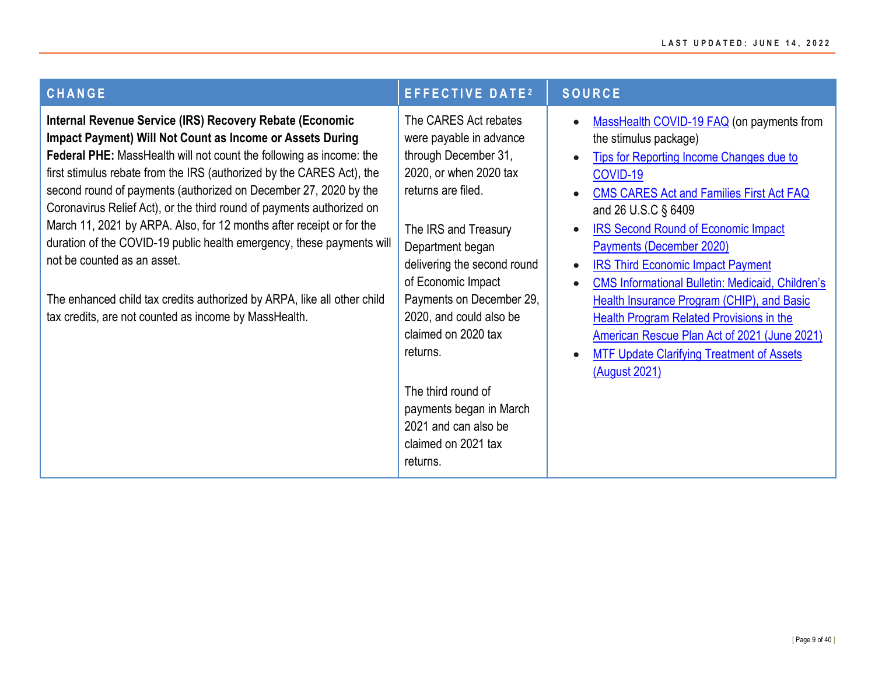| CHANGE                                                                                                                                                                                                                                                                                                                                                                                                                                                                                                                                                                                                                                                                                                                                 | <b>EFFECTIVE DATE2</b>                                                                                                                                                                                                                                                                                                                                                                                                          | <b>SOURCE</b>                                                                                                                                                                                                                                                                                                                                                                                                                                                                                                                                                                                                                                                                                                                      |
|----------------------------------------------------------------------------------------------------------------------------------------------------------------------------------------------------------------------------------------------------------------------------------------------------------------------------------------------------------------------------------------------------------------------------------------------------------------------------------------------------------------------------------------------------------------------------------------------------------------------------------------------------------------------------------------------------------------------------------------|---------------------------------------------------------------------------------------------------------------------------------------------------------------------------------------------------------------------------------------------------------------------------------------------------------------------------------------------------------------------------------------------------------------------------------|------------------------------------------------------------------------------------------------------------------------------------------------------------------------------------------------------------------------------------------------------------------------------------------------------------------------------------------------------------------------------------------------------------------------------------------------------------------------------------------------------------------------------------------------------------------------------------------------------------------------------------------------------------------------------------------------------------------------------------|
| Internal Revenue Service (IRS) Recovery Rebate (Economic<br>Impact Payment) Will Not Count as Income or Assets During<br>Federal PHE: MassHealth will not count the following as income: the<br>first stimulus rebate from the IRS (authorized by the CARES Act), the<br>second round of payments (authorized on December 27, 2020 by the<br>Coronavirus Relief Act), or the third round of payments authorized on<br>March 11, 2021 by ARPA. Also, for 12 months after receipt or for the<br>duration of the COVID-19 public health emergency, these payments will<br>not be counted as an asset.<br>The enhanced child tax credits authorized by ARPA, like all other child<br>tax credits, are not counted as income by MassHealth. | The CARES Act rebates<br>were payable in advance<br>through December 31,<br>2020, or when 2020 tax<br>returns are filed.<br>The IRS and Treasury<br>Department began<br>delivering the second round<br>of Economic Impact<br>Payments on December 29,<br>2020, and could also be<br>claimed on 2020 tax<br>returns.<br>The third round of<br>payments began in March<br>2021 and can also be<br>claimed on 2021 tax<br>returns. | MassHealth COVID-19 FAQ (on payments from<br>$\bullet$<br>the stimulus package)<br><b>Tips for Reporting Income Changes due to</b><br>$\bullet$<br>COVID-19<br><b>CMS CARES Act and Families First Act FAQ</b><br>$\bullet$<br>and 26 U.S.C § 6409<br><b>IRS Second Round of Economic Impact</b><br>$\bullet$<br><b>Payments (December 2020)</b><br><b>IRS Third Economic Impact Payment</b><br>$\bullet$<br><b>CMS Informational Bulletin: Medicaid, Children's</b><br>$\bullet$<br><b>Health Insurance Program (CHIP), and Basic</b><br><b>Health Program Related Provisions in the</b><br><b>American Rescue Plan Act of 2021 (June 2021)</b><br><b>MTF Update Clarifying Treatment of Assets</b><br>$\bullet$<br>(August 2021) |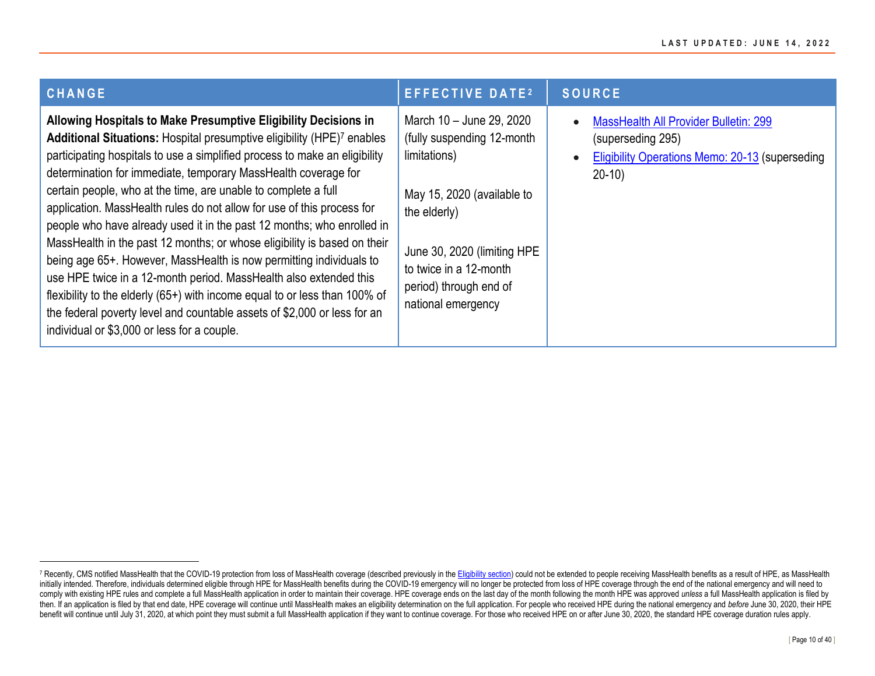| <b>CHANGE</b>                                                                                                                                                                                                                                                                                                                                                                                                                                                                                                                                                                                                                                                                                                                                                                                                                                                                                                                                        | <b>EFFECTIVE DATE2</b>                                                                                                                                                                                                         | <b>SOURCE</b>                                                                                                                          |
|------------------------------------------------------------------------------------------------------------------------------------------------------------------------------------------------------------------------------------------------------------------------------------------------------------------------------------------------------------------------------------------------------------------------------------------------------------------------------------------------------------------------------------------------------------------------------------------------------------------------------------------------------------------------------------------------------------------------------------------------------------------------------------------------------------------------------------------------------------------------------------------------------------------------------------------------------|--------------------------------------------------------------------------------------------------------------------------------------------------------------------------------------------------------------------------------|----------------------------------------------------------------------------------------------------------------------------------------|
| Allowing Hospitals to Make Presumptive Eligibility Decisions in<br>Additional Situations: Hospital presumptive eligibility (HPE)7 enables<br>participating hospitals to use a simplified process to make an eligibility<br>determination for immediate, temporary MassHealth coverage for<br>certain people, who at the time, are unable to complete a full<br>application. MassHealth rules do not allow for use of this process for<br>people who have already used it in the past 12 months; who enrolled in<br>MassHealth in the past 12 months; or whose eligibility is based on their<br>being age 65+. However, MassHealth is now permitting individuals to<br>use HPE twice in a 12-month period. MassHealth also extended this<br>flexibility to the elderly ( $65+$ ) with income equal to or less than 100% of<br>the federal poverty level and countable assets of \$2,000 or less for an<br>individual or \$3,000 or less for a couple. | March 10 - June 29, 2020<br>(fully suspending 12-month<br>limitations)<br>May 15, 2020 (available to<br>the elderly)<br>June 30, 2020 (limiting HPE)<br>to twice in a 12-month<br>period) through end of<br>national emergency | <b>MassHealth All Provider Bulletin: 299</b><br>(superseding 295)<br><b>Eligibility Operations Memo: 20-13 (superseding</b><br>$20-10$ |

<sup>7</sup> Recently, CMS notified MassHealth that the COVID-19 protection from loss of MassHealth coverage (described previously in th[e Eligibility section\)](#page-2-1) could not be extended to people receiving MassHealth benefits as a result initially intended. Therefore, individuals determined eligible through HPE for MassHealth benefits during the COVID-19 emergency will no longer be protected from loss of HPE coverage through the end of the national emergen comply with existing HPE rules and complete a full MassHealth application in order to maintain their coverage. HPE coverage ends on the last day of the month following the month HPE was approved unless a full MassHealth ap then. If an application is filed by that end date, HPE coverage will continue until MassHealth makes an eligibility determination on the full application. For people who received HPE during the national emergency and befor benefit will continue until July 31, 2020, at which point they must submit a full MassHealth application if they want to continue coverage. For those who received HPE on or after June 30, 2020, the standard HPE coverage du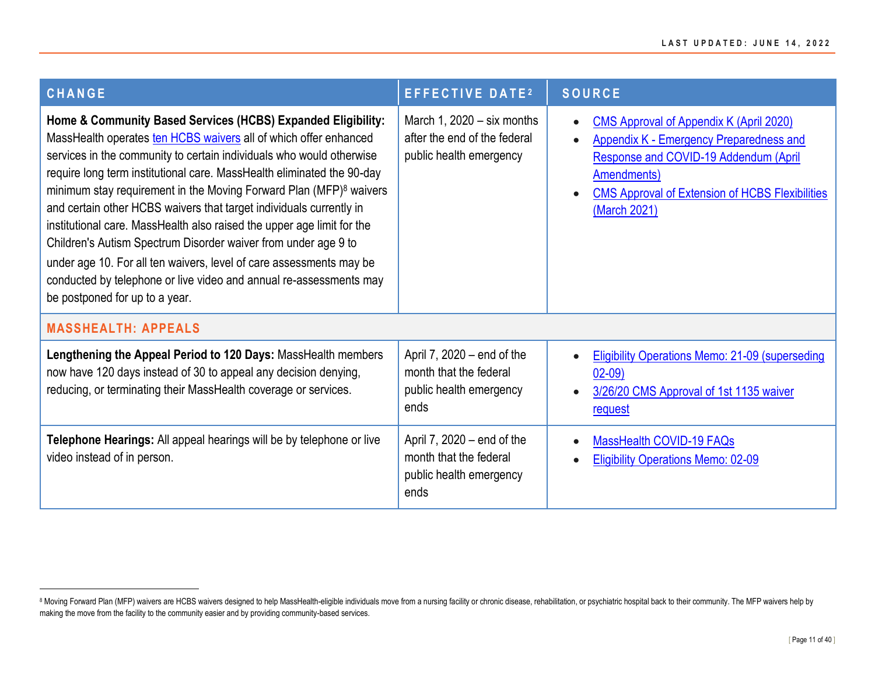<span id="page-10-0"></span>

| <b>CHANGE</b>                                                                                                                                                                                                                                                                                                                                                                                                                                                                                                                                                                                                                                                                                                                                                 | <b>EFFECTIVE DATE2</b>                                                                    | SOURCE                                                                                                                                                                                                                                          |
|---------------------------------------------------------------------------------------------------------------------------------------------------------------------------------------------------------------------------------------------------------------------------------------------------------------------------------------------------------------------------------------------------------------------------------------------------------------------------------------------------------------------------------------------------------------------------------------------------------------------------------------------------------------------------------------------------------------------------------------------------------------|-------------------------------------------------------------------------------------------|-------------------------------------------------------------------------------------------------------------------------------------------------------------------------------------------------------------------------------------------------|
| Home & Community Based Services (HCBS) Expanded Eligibility:<br>MassHealth operates ten HCBS waivers all of which offer enhanced<br>services in the community to certain individuals who would otherwise<br>require long term institutional care. MassHealth eliminated the 90-day<br>minimum stay requirement in the Moving Forward Plan (MFP) $8$ waivers<br>and certain other HCBS waivers that target individuals currently in<br>institutional care. MassHealth also raised the upper age limit for the<br>Children's Autism Spectrum Disorder waiver from under age 9 to<br>under age 10. For all ten waivers, level of care assessments may be<br>conducted by telephone or live video and annual re-assessments may<br>be postponed for up to a year. | March 1, $2020 - six months$<br>after the end of the federal<br>public health emergency   | <b>CMS Approval of Appendix K (April 2020)</b><br>$\bullet$<br><b>Appendix K - Emergency Preparedness and</b><br>Response and COVID-19 Addendum (April<br>Amendments)<br><b>CMS Approval of Extension of HCBS Flexibilities</b><br>(March 2021) |
| <b>MASSHEALTH: APPEALS</b>                                                                                                                                                                                                                                                                                                                                                                                                                                                                                                                                                                                                                                                                                                                                    |                                                                                           |                                                                                                                                                                                                                                                 |
| Lengthening the Appeal Period to 120 Days: MassHealth members<br>now have 120 days instead of 30 to appeal any decision denying,<br>reducing, or terminating their MassHealth coverage or services.                                                                                                                                                                                                                                                                                                                                                                                                                                                                                                                                                           | April 7, 2020 – end of the<br>month that the federal<br>public health emergency<br>ends   | <b>Eligibility Operations Memo: 21-09 (superseding</b><br>$02-09$<br>3/26/20 CMS Approval of 1st 1135 waiver<br>request                                                                                                                         |
| Telephone Hearings: All appeal hearings will be by telephone or live<br>video instead of in person.                                                                                                                                                                                                                                                                                                                                                                                                                                                                                                                                                                                                                                                           | April 7, $2020 - end$ of the<br>month that the federal<br>public health emergency<br>ends | MassHealth COVID-19 FAQs<br><b>Eligibility Operations Memo: 02-09</b>                                                                                                                                                                           |

<sup>8</sup> Moving Forward Plan (MFP) waivers are HCBS waivers designed to help MassHealth-eligible individuals move from a nursing facility or chronic disease, rehabilitation, or psychiatric hospital back to their community. The MF making the move from the facility to the community easier and by providing community-based services.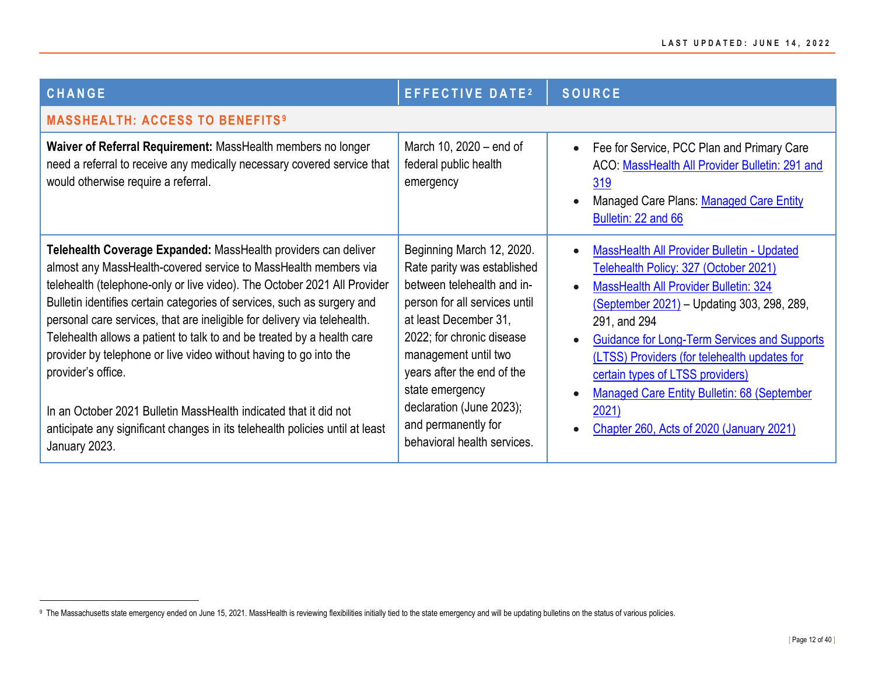<span id="page-11-0"></span>

| <b>CHANGE</b>                                                                                                                                                                                                                                                                                                                                                                                                                                                                                                                                                                                                                                                                                                  | <b>EFFECTIVE DATE2</b>                                                                                                                                                                                                                                                                                                                   | <b>SOURCE</b>                                                                                                                                                                                                                                                                                                                                                                                                                                                                     |
|----------------------------------------------------------------------------------------------------------------------------------------------------------------------------------------------------------------------------------------------------------------------------------------------------------------------------------------------------------------------------------------------------------------------------------------------------------------------------------------------------------------------------------------------------------------------------------------------------------------------------------------------------------------------------------------------------------------|------------------------------------------------------------------------------------------------------------------------------------------------------------------------------------------------------------------------------------------------------------------------------------------------------------------------------------------|-----------------------------------------------------------------------------------------------------------------------------------------------------------------------------------------------------------------------------------------------------------------------------------------------------------------------------------------------------------------------------------------------------------------------------------------------------------------------------------|
| <b>MASSHEALTH: ACCESS TO BENEFITS<sup>9</sup></b>                                                                                                                                                                                                                                                                                                                                                                                                                                                                                                                                                                                                                                                              |                                                                                                                                                                                                                                                                                                                                          |                                                                                                                                                                                                                                                                                                                                                                                                                                                                                   |
| Waiver of Referral Requirement: MassHealth members no longer<br>need a referral to receive any medically necessary covered service that<br>would otherwise require a referral.                                                                                                                                                                                                                                                                                                                                                                                                                                                                                                                                 | March 10, 2020 – end of<br>federal public health<br>emergency                                                                                                                                                                                                                                                                            | Fee for Service, PCC Plan and Primary Care<br>ACO: MassHealth All Provider Bulletin: 291 and<br>319<br>Managed Care Plans: Managed Care Entity<br>Bulletin: 22 and 66                                                                                                                                                                                                                                                                                                             |
| Telehealth Coverage Expanded: MassHealth providers can deliver<br>almost any MassHealth-covered service to MassHealth members via<br>telehealth (telephone-only or live video). The October 2021 All Provider<br>Bulletin identifies certain categories of services, such as surgery and<br>personal care services, that are ineligible for delivery via telehealth.<br>Telehealth allows a patient to talk to and be treated by a health care<br>provider by telephone or live video without having to go into the<br>provider's office.<br>In an October 2021 Bulletin MassHealth indicated that it did not<br>anticipate any significant changes in its telehealth policies until at least<br>January 2023. | Beginning March 12, 2020.<br>Rate parity was established<br>between telehealth and in-<br>person for all services until<br>at least December 31,<br>2022; for chronic disease<br>management until two<br>years after the end of the<br>state emergency<br>declaration (June 2023);<br>and permanently for<br>behavioral health services. | MassHealth All Provider Bulletin - Updated<br>$\bullet$<br>Telehealth Policy: 327 (October 2021)<br><b>MassHealth All Provider Bulletin: 324</b><br>(September 2021) - Updating 303, 298, 289,<br>291, and 294<br><b>Guidance for Long-Term Services and Supports</b><br>$\bullet$<br>(LTSS) Providers (for telehealth updates for<br>certain types of LTSS providers)<br><b>Managed Care Entity Bulletin: 68 (September</b><br>2021)<br>Chapter 260, Acts of 2020 (January 2021) |

<sup>&</sup>lt;sup>9</sup> The Massachusetts state emergency ended on June 15, 2021. MassHealth is reviewing flexibilities initially tied to the state emergency and will be updating bulletins on the status of various policies.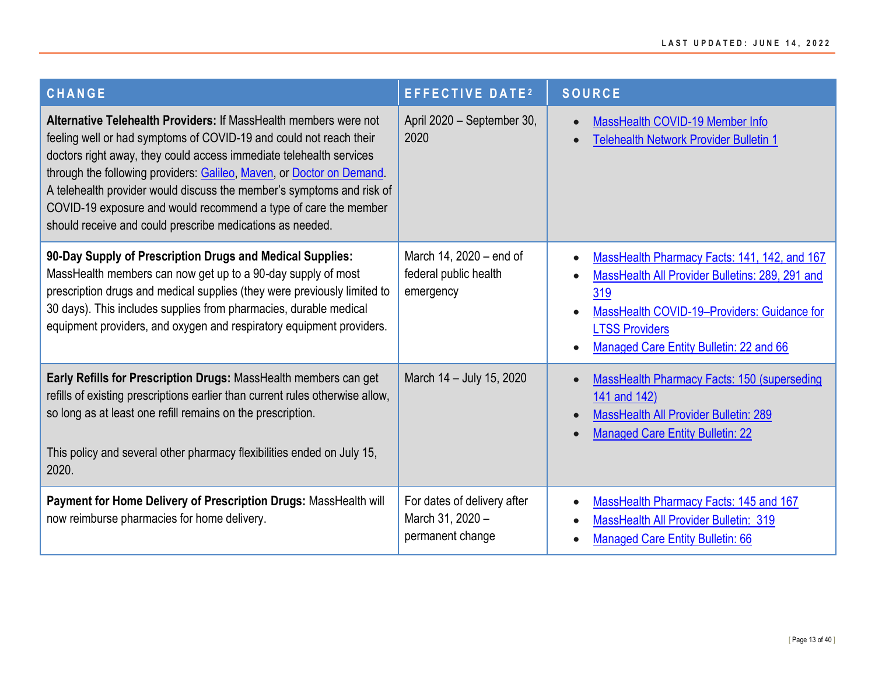| <b>CHANGE</b>                                                                                                                                                                                                                                                                                                                                                                                                                                                                                   | <b>EFFECTIVE DATE2</b>                                              | <b>SOURCE</b>                                                                                                                                                                                                             |
|-------------------------------------------------------------------------------------------------------------------------------------------------------------------------------------------------------------------------------------------------------------------------------------------------------------------------------------------------------------------------------------------------------------------------------------------------------------------------------------------------|---------------------------------------------------------------------|---------------------------------------------------------------------------------------------------------------------------------------------------------------------------------------------------------------------------|
| Alternative Telehealth Providers: If MassHealth members were not<br>feeling well or had symptoms of COVID-19 and could not reach their<br>doctors right away, they could access immediate telehealth services<br>through the following providers: Galileo, Maven, or Doctor on Demand.<br>A telehealth provider would discuss the member's symptoms and risk of<br>COVID-19 exposure and would recommend a type of care the member<br>should receive and could prescribe medications as needed. | April 2020 - September 30,<br>2020                                  | MassHealth COVID-19 Member Info<br>$\bullet$<br><b>Telehealth Network Provider Bulletin 1</b>                                                                                                                             |
| 90-Day Supply of Prescription Drugs and Medical Supplies:<br>MassHealth members can now get up to a 90-day supply of most<br>prescription drugs and medical supplies (they were previously limited to<br>30 days). This includes supplies from pharmacies, durable medical<br>equipment providers, and oxygen and respiratory equipment providers.                                                                                                                                              | March 14, 2020 - end of<br>federal public health<br>emergency       | MassHealth Pharmacy Facts: 141, 142, and 167<br>MassHealth All Provider Bulletins: 289, 291 and<br>319<br>MassHealth COVID-19-Providers: Guidance for<br><b>LTSS Providers</b><br>Managed Care Entity Bulletin: 22 and 66 |
| Early Refills for Prescription Drugs: MassHealth members can get<br>refills of existing prescriptions earlier than current rules otherwise allow,<br>so long as at least one refill remains on the prescription.<br>This policy and several other pharmacy flexibilities ended on July 15,<br>2020.                                                                                                                                                                                             | March 14 - July 15, 2020                                            | <b>MassHealth Pharmacy Facts: 150 (superseding</b><br>141 and 142)<br><b>MassHealth All Provider Bulletin: 289</b><br><b>Managed Care Entity Bulletin: 22</b>                                                             |
| Payment for Home Delivery of Prescription Drugs: MassHealth will<br>now reimburse pharmacies for home delivery.                                                                                                                                                                                                                                                                                                                                                                                 | For dates of delivery after<br>March 31, 2020 -<br>permanent change | MassHealth Pharmacy Facts: 145 and 167<br>$\bullet$<br><b>MassHealth All Provider Bulletin: 319</b><br><b>Managed Care Entity Bulletin: 66</b>                                                                            |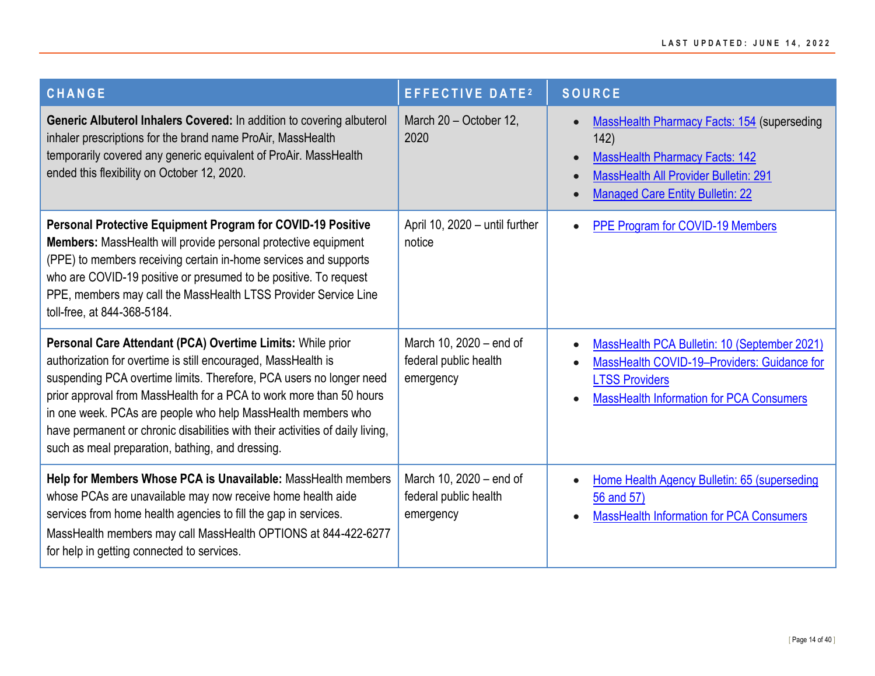| <b>CHANGE</b>                                                                                                                                                                                                                                                                                                                                                                                                                                                                  | <b>EFFECTIVE DATE2</b>                                        | <b>SOURCE</b>                                                                                                                                                                                        |
|--------------------------------------------------------------------------------------------------------------------------------------------------------------------------------------------------------------------------------------------------------------------------------------------------------------------------------------------------------------------------------------------------------------------------------------------------------------------------------|---------------------------------------------------------------|------------------------------------------------------------------------------------------------------------------------------------------------------------------------------------------------------|
| Generic Albuterol Inhalers Covered: In addition to covering albuterol<br>inhaler prescriptions for the brand name ProAir, MassHealth<br>temporarily covered any generic equivalent of ProAir. MassHealth<br>ended this flexibility on October 12, 2020.                                                                                                                                                                                                                        | March 20 - October 12,<br>2020                                | MassHealth Pharmacy Facts: 154 (superseding<br>142)<br><b>MassHealth Pharmacy Facts: 142</b><br><b>MassHealth All Provider Bulletin: 291</b><br>$\bullet$<br><b>Managed Care Entity Bulletin: 22</b> |
| Personal Protective Equipment Program for COVID-19 Positive<br>Members: MassHealth will provide personal protective equipment<br>(PPE) to members receiving certain in-home services and supports<br>who are COVID-19 positive or presumed to be positive. To request<br>PPE, members may call the MassHealth LTSS Provider Service Line<br>toll-free, at 844-368-5184.                                                                                                        | April 10, 2020 - until further<br>notice                      | PPE Program for COVID-19 Members                                                                                                                                                                     |
| Personal Care Attendant (PCA) Overtime Limits: While prior<br>authorization for overtime is still encouraged, MassHealth is<br>suspending PCA overtime limits. Therefore, PCA users no longer need<br>prior approval from MassHealth for a PCA to work more than 50 hours<br>in one week. PCAs are people who help MassHealth members who<br>have permanent or chronic disabilities with their activities of daily living,<br>such as meal preparation, bathing, and dressing. | March 10, 2020 - end of<br>federal public health<br>emergency | MassHealth PCA Bulletin: 10 (September 2021)<br>$\bullet$<br>MassHealth COVID-19-Providers: Guidance for<br><b>LTSS Providers</b><br><b>MassHealth Information for PCA Consumers</b>                 |
| Help for Members Whose PCA is Unavailable: MassHealth members<br>whose PCAs are unavailable may now receive home health aide<br>services from home health agencies to fill the gap in services.<br>MassHealth members may call MassHealth OPTIONS at 844-422-6277<br>for help in getting connected to services.                                                                                                                                                                | March 10, 2020 - end of<br>federal public health<br>emergency | Home Health Agency Bulletin: 65 (superseding<br>56 and 57)<br><b>MassHealth Information for PCA Consumers</b>                                                                                        |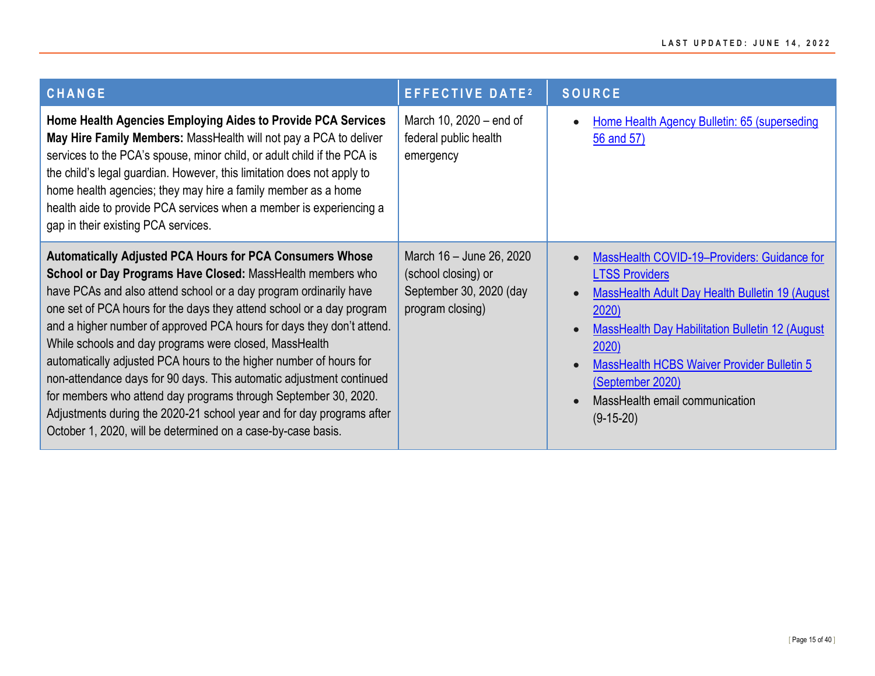| <b>CHANGE</b>                                                                                                                                                                                                                                                                                                                                                                                                                                                                                                                                                                                                                                                                                                                                                            | <b>EFFECTIVE DATE2</b>                                                                         | <b>SOURCE</b>                                                                                                                                                                                                                                                                                                                       |
|--------------------------------------------------------------------------------------------------------------------------------------------------------------------------------------------------------------------------------------------------------------------------------------------------------------------------------------------------------------------------------------------------------------------------------------------------------------------------------------------------------------------------------------------------------------------------------------------------------------------------------------------------------------------------------------------------------------------------------------------------------------------------|------------------------------------------------------------------------------------------------|-------------------------------------------------------------------------------------------------------------------------------------------------------------------------------------------------------------------------------------------------------------------------------------------------------------------------------------|
| Home Health Agencies Employing Aides to Provide PCA Services<br>May Hire Family Members: MassHealth will not pay a PCA to deliver<br>services to the PCA's spouse, minor child, or adult child if the PCA is<br>the child's legal guardian. However, this limitation does not apply to<br>home health agencies; they may hire a family member as a home<br>health aide to provide PCA services when a member is experiencing a<br>gap in their existing PCA services.                                                                                                                                                                                                                                                                                                    | March 10, 2020 – end of<br>federal public health<br>emergency                                  | Home Health Agency Bulletin: 65 (superseding<br>56 and 57)                                                                                                                                                                                                                                                                          |
| <b>Automatically Adjusted PCA Hours for PCA Consumers Whose</b><br>School or Day Programs Have Closed: MassHealth members who<br>have PCAs and also attend school or a day program ordinarily have<br>one set of PCA hours for the days they attend school or a day program<br>and a higher number of approved PCA hours for days they don't attend.<br>While schools and day programs were closed, MassHealth<br>automatically adjusted PCA hours to the higher number of hours for<br>non-attendance days for 90 days. This automatic adjustment continued<br>for members who attend day programs through September 30, 2020.<br>Adjustments during the 2020-21 school year and for day programs after<br>October 1, 2020, will be determined on a case-by-case basis. | March 16 - June 26, 2020<br>(school closing) or<br>September 30, 2020 (day<br>program closing) | MassHealth COVID-19-Providers: Guidance for<br>$\bullet$<br><b>LTSS Providers</b><br><b>MassHealth Adult Day Health Bulletin 19 (August</b><br>2020)<br>MassHealth Day Habilitation Bulletin 12 (August<br>2020)<br>MassHealth HCBS Waiver Provider Bulletin 5<br>(September 2020)<br>MassHealth email communication<br>$(9-15-20)$ |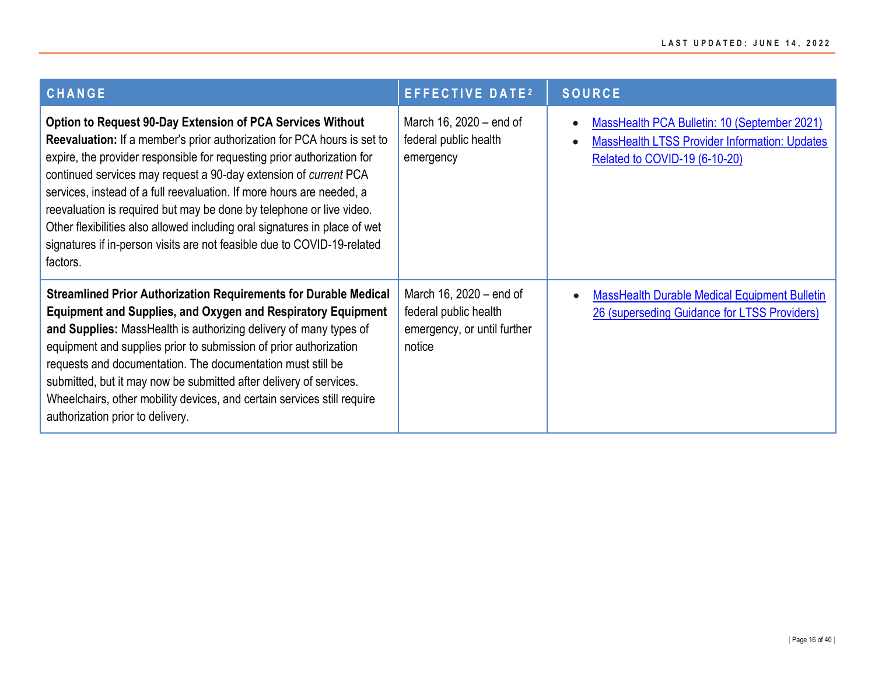| <b>CHANGE</b>                                                                                                                                                                                                                                                                                                                                                                                                                                                                                                                                                                                                            | <b>EFFECTIVE DATE2</b>                                                                    | <b>SOURCE</b>                                                                                                                                      |
|--------------------------------------------------------------------------------------------------------------------------------------------------------------------------------------------------------------------------------------------------------------------------------------------------------------------------------------------------------------------------------------------------------------------------------------------------------------------------------------------------------------------------------------------------------------------------------------------------------------------------|-------------------------------------------------------------------------------------------|----------------------------------------------------------------------------------------------------------------------------------------------------|
| <b>Option to Request 90-Day Extension of PCA Services Without</b><br><b>Reevaluation:</b> If a member's prior authorization for PCA hours is set to<br>expire, the provider responsible for requesting prior authorization for<br>continued services may request a 90-day extension of current PCA<br>services, instead of a full reevaluation. If more hours are needed, a<br>reevaluation is required but may be done by telephone or live video.<br>Other flexibilities also allowed including oral signatures in place of wet<br>signatures if in-person visits are not feasible due to COVID-19-related<br>factors. | March 16, 2020 – end of<br>federal public health<br>emergency                             | MassHealth PCA Bulletin: 10 (September 2021)<br>$\bullet$<br><b>MassHealth LTSS Provider Information: Updates</b><br>Related to COVID-19 (6-10-20) |
| <b>Streamlined Prior Authorization Requirements for Durable Medical</b><br><b>Equipment and Supplies, and Oxygen and Respiratory Equipment</b><br>and Supplies: MassHealth is authorizing delivery of many types of<br>equipment and supplies prior to submission of prior authorization<br>requests and documentation. The documentation must still be<br>submitted, but it may now be submitted after delivery of services.<br>Wheelchairs, other mobility devices, and certain services still require<br>authorization prior to delivery.                                                                             | March 16, 2020 – end of<br>federal public health<br>emergency, or until further<br>notice | <b>MassHealth Durable Medical Equipment Bulletin</b><br>$\bullet$<br>26 (superseding Guidance for LTSS Providers)                                  |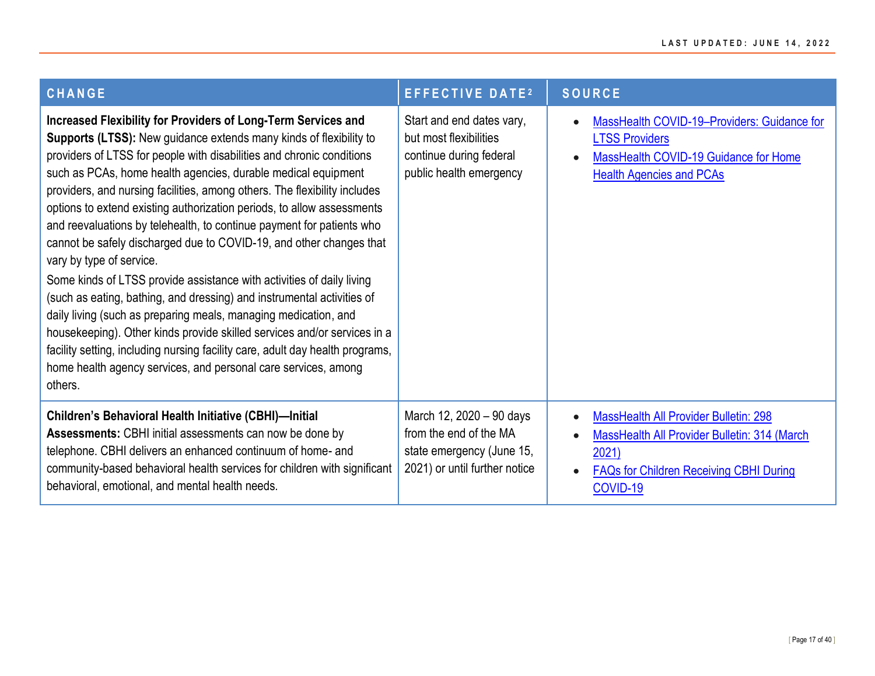| <b>CHANGE</b>                                                                                                                                                                                                                                                                                                                                                                                                                                                                                                                                                                                                                                                                                                                                                                                                                                                                                                                                                                                                                                                                    | <b>EFFECTIVE DATE<sup>2</sup></b>                                                                                | <b>SOURCE</b>                                                                                                                                                               |
|----------------------------------------------------------------------------------------------------------------------------------------------------------------------------------------------------------------------------------------------------------------------------------------------------------------------------------------------------------------------------------------------------------------------------------------------------------------------------------------------------------------------------------------------------------------------------------------------------------------------------------------------------------------------------------------------------------------------------------------------------------------------------------------------------------------------------------------------------------------------------------------------------------------------------------------------------------------------------------------------------------------------------------------------------------------------------------|------------------------------------------------------------------------------------------------------------------|-----------------------------------------------------------------------------------------------------------------------------------------------------------------------------|
| Increased Flexibility for Providers of Long-Term Services and<br>Supports (LTSS): New guidance extends many kinds of flexibility to<br>providers of LTSS for people with disabilities and chronic conditions<br>such as PCAs, home health agencies, durable medical equipment<br>providers, and nursing facilities, among others. The flexibility includes<br>options to extend existing authorization periods, to allow assessments<br>and reevaluations by telehealth, to continue payment for patients who<br>cannot be safely discharged due to COVID-19, and other changes that<br>vary by type of service.<br>Some kinds of LTSS provide assistance with activities of daily living<br>(such as eating, bathing, and dressing) and instrumental activities of<br>daily living (such as preparing meals, managing medication, and<br>housekeeping). Other kinds provide skilled services and/or services in a<br>facility setting, including nursing facility care, adult day health programs,<br>home health agency services, and personal care services, among<br>others. | Start and end dates vary,<br>but most flexibilities<br>continue during federal<br>public health emergency        | MassHealth COVID-19-Providers: Guidance for<br><b>LTSS Providers</b><br>MassHealth COVID-19 Guidance for Home<br><b>Health Agencies and PCAs</b>                            |
| <b>Children's Behavioral Health Initiative (CBHI)-Initial</b><br>Assessments: CBHI initial assessments can now be done by<br>telephone. CBHI delivers an enhanced continuum of home- and<br>community-based behavioral health services for children with significant<br>behavioral, emotional, and mental health needs.                                                                                                                                                                                                                                                                                                                                                                                                                                                                                                                                                                                                                                                                                                                                                          | March 12, 2020 - 90 days<br>from the end of the MA<br>state emergency (June 15,<br>2021) or until further notice | <b>MassHealth All Provider Bulletin: 298</b><br><b>MassHealth All Provider Bulletin: 314 (March)</b><br>2021)<br><b>FAQs for Children Receiving CBHI During</b><br>COVID-19 |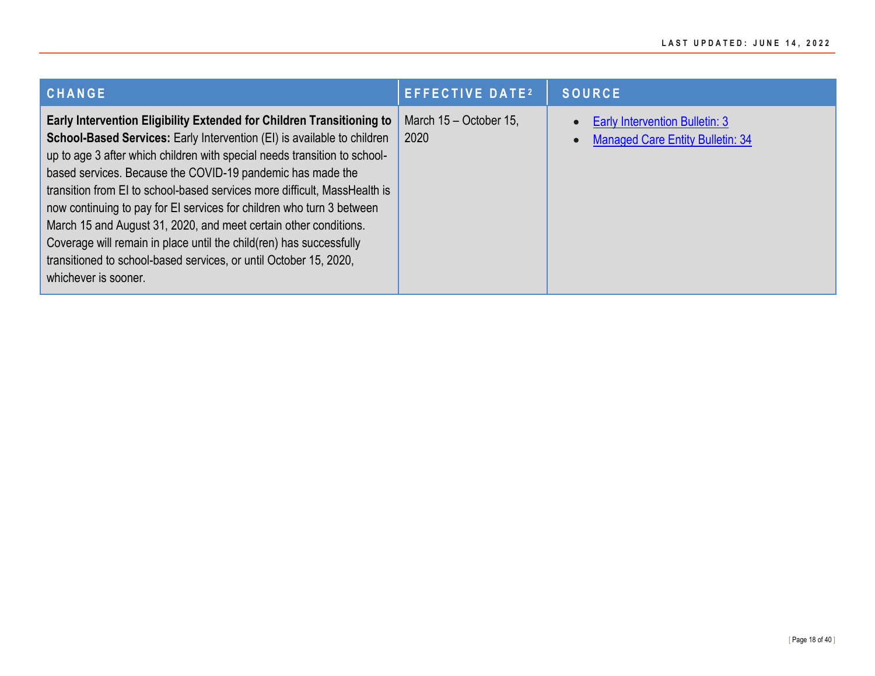| <b>CHANGE</b>                                                                                                                                                                                                                                                                                                                                                                                                                                                                                                                                                                                                                                                                             | <b>EFFECTIVE DATE<sup>2</sup></b> | <b>SOURCE</b>                                                                    |
|-------------------------------------------------------------------------------------------------------------------------------------------------------------------------------------------------------------------------------------------------------------------------------------------------------------------------------------------------------------------------------------------------------------------------------------------------------------------------------------------------------------------------------------------------------------------------------------------------------------------------------------------------------------------------------------------|-----------------------------------|----------------------------------------------------------------------------------|
| Early Intervention Eligibility Extended for Children Transitioning to<br>School-Based Services: Early Intervention (EI) is available to children<br>up to age 3 after which children with special needs transition to school-<br>based services. Because the COVID-19 pandemic has made the<br>transition from EI to school-based services more difficult, MassHealth is<br>now continuing to pay for EI services for children who turn 3 between<br>March 15 and August 31, 2020, and meet certain other conditions.<br>Coverage will remain in place until the child(ren) has successfully<br>transitioned to school-based services, or until October 15, 2020,<br>whichever is sooner. | March 15 - October 15,<br>2020    | <b>Early Intervention Bulletin: 3</b><br><b>Managed Care Entity Bulletin: 34</b> |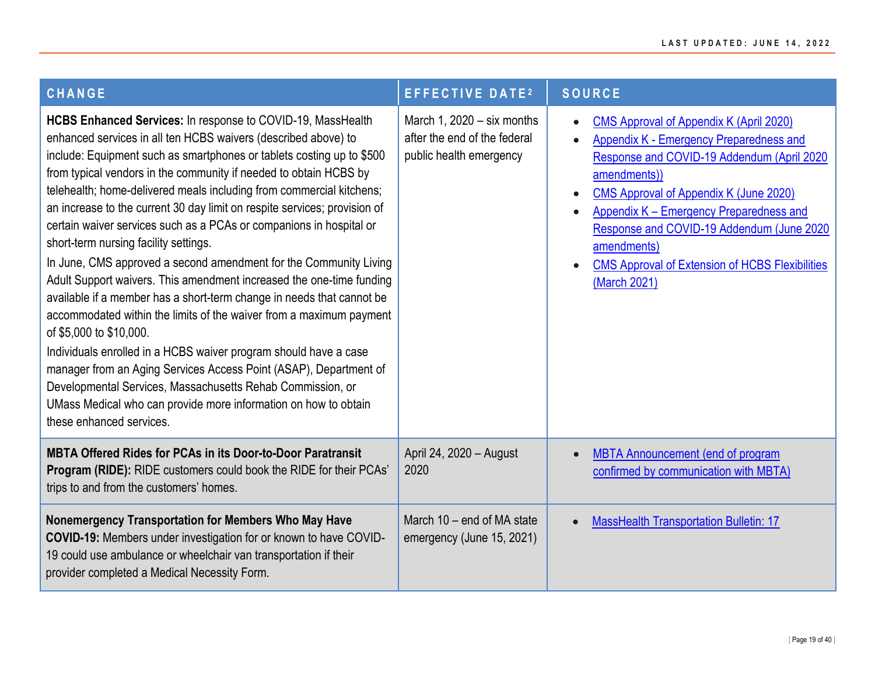| <b>CHANGE</b>                                                                                                                                                                                                                                                                                                                                                                                                                                                                                                                                                                                                                                                                                                                                                                                                                                                                                                                                                                                                                                                                                                                                                                  | <b>EFFECTIVE DATE2</b>                                                                  | <b>SOURCE</b>                                                                                                                                                                                                                                                                                                                                                                      |
|--------------------------------------------------------------------------------------------------------------------------------------------------------------------------------------------------------------------------------------------------------------------------------------------------------------------------------------------------------------------------------------------------------------------------------------------------------------------------------------------------------------------------------------------------------------------------------------------------------------------------------------------------------------------------------------------------------------------------------------------------------------------------------------------------------------------------------------------------------------------------------------------------------------------------------------------------------------------------------------------------------------------------------------------------------------------------------------------------------------------------------------------------------------------------------|-----------------------------------------------------------------------------------------|------------------------------------------------------------------------------------------------------------------------------------------------------------------------------------------------------------------------------------------------------------------------------------------------------------------------------------------------------------------------------------|
| HCBS Enhanced Services: In response to COVID-19, MassHealth<br>enhanced services in all ten HCBS waivers (described above) to<br>include: Equipment such as smartphones or tablets costing up to \$500<br>from typical vendors in the community if needed to obtain HCBS by<br>telehealth; home-delivered meals including from commercial kitchens;<br>an increase to the current 30 day limit on respite services; provision of<br>certain waiver services such as a PCAs or companions in hospital or<br>short-term nursing facility settings.<br>In June, CMS approved a second amendment for the Community Living<br>Adult Support waivers. This amendment increased the one-time funding<br>available if a member has a short-term change in needs that cannot be<br>accommodated within the limits of the waiver from a maximum payment<br>of \$5,000 to \$10,000.<br>Individuals enrolled in a HCBS waiver program should have a case<br>manager from an Aging Services Access Point (ASAP), Department of<br>Developmental Services, Massachusetts Rehab Commission, or<br>UMass Medical who can provide more information on how to obtain<br>these enhanced services. | March 1, $2020 - six$ months<br>after the end of the federal<br>public health emergency | <b>CMS Approval of Appendix K (April 2020)</b><br>Appendix K - Emergency Preparedness and<br>Response and COVID-19 Addendum (April 2020<br>amendments))<br>CMS Approval of Appendix K (June 2020)<br>Appendix K - Emergency Preparedness and<br>Response and COVID-19 Addendum (June 2020<br>amendments)<br><b>CMS Approval of Extension of HCBS Flexibilities</b><br>(March 2021) |
| <b>MBTA Offered Rides for PCAs in its Door-to-Door Paratransit</b><br>Program (RIDE): RIDE customers could book the RIDE for their PCAs'<br>trips to and from the customers' homes.                                                                                                                                                                                                                                                                                                                                                                                                                                                                                                                                                                                                                                                                                                                                                                                                                                                                                                                                                                                            | April 24, 2020 - August<br>2020                                                         | <b>MBTA Announcement (end of program</b><br>confirmed by communication with MBTA)                                                                                                                                                                                                                                                                                                  |
| Nonemergency Transportation for Members Who May Have<br>COVID-19: Members under investigation for or known to have COVID-<br>19 could use ambulance or wheelchair van transportation if their<br>provider completed a Medical Necessity Form.                                                                                                                                                                                                                                                                                                                                                                                                                                                                                                                                                                                                                                                                                                                                                                                                                                                                                                                                  | March 10 - end of MA state<br>emergency (June 15, 2021)                                 | <b>MassHealth Transportation Bulletin: 17</b>                                                                                                                                                                                                                                                                                                                                      |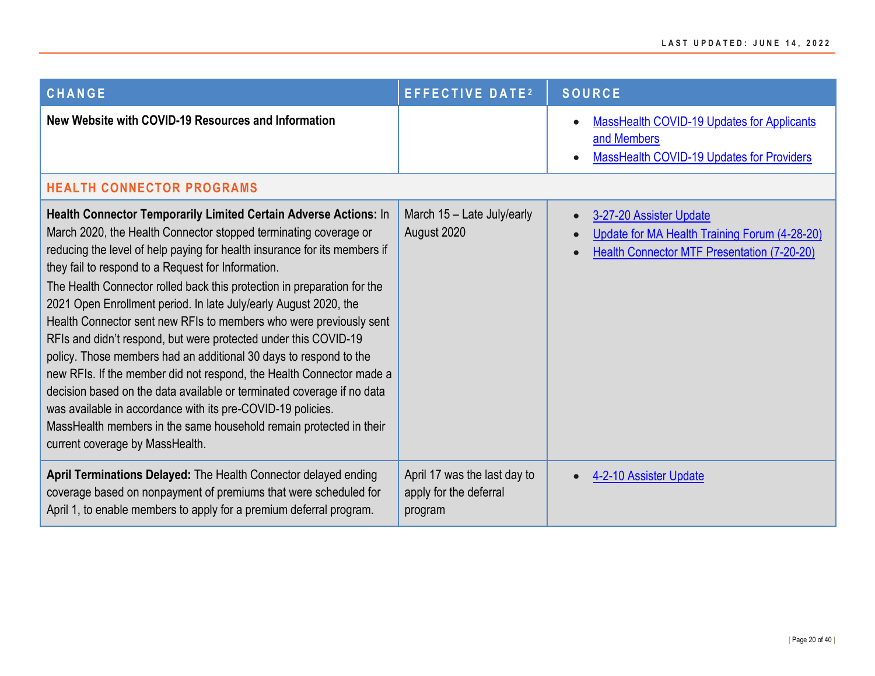<span id="page-19-0"></span>

| <b>CHANGE</b>                                                                                                                                                                                                                                                                                                                                                                                                                                                                                                                                                                                                                                                                                                                                                                                                                                                                                                                                                  | <b>EFFECTIVE DATE2</b>                                            | <b>SOURCE</b>                                                                                                                  |
|----------------------------------------------------------------------------------------------------------------------------------------------------------------------------------------------------------------------------------------------------------------------------------------------------------------------------------------------------------------------------------------------------------------------------------------------------------------------------------------------------------------------------------------------------------------------------------------------------------------------------------------------------------------------------------------------------------------------------------------------------------------------------------------------------------------------------------------------------------------------------------------------------------------------------------------------------------------|-------------------------------------------------------------------|--------------------------------------------------------------------------------------------------------------------------------|
| New Website with COVID-19 Resources and Information                                                                                                                                                                                                                                                                                                                                                                                                                                                                                                                                                                                                                                                                                                                                                                                                                                                                                                            |                                                                   | <b>MassHealth COVID-19 Updates for Applicants</b><br>and Members<br><b>MassHealth COVID-19 Updates for Providers</b>           |
| <b>HEALTH CONNECTOR PROGRAMS</b>                                                                                                                                                                                                                                                                                                                                                                                                                                                                                                                                                                                                                                                                                                                                                                                                                                                                                                                               |                                                                   |                                                                                                                                |
| Health Connector Temporarily Limited Certain Adverse Actions: In<br>March 2020, the Health Connector stopped terminating coverage or<br>reducing the level of help paying for health insurance for its members if<br>they fail to respond to a Request for Information.<br>The Health Connector rolled back this protection in preparation for the<br>2021 Open Enrollment period. In late July/early August 2020, the<br>Health Connector sent new RFIs to members who were previously sent<br>RFIs and didn't respond, but were protected under this COVID-19<br>policy. Those members had an additional 30 days to respond to the<br>new RFIs. If the member did not respond, the Health Connector made a<br>decision based on the data available or terminated coverage if no data<br>was available in accordance with its pre-COVID-19 policies.<br>MassHealth members in the same household remain protected in their<br>current coverage by MassHealth. | March 15 - Late July/early<br>August 2020                         | 3-27-20 Assister Update<br>Update for MA Health Training Forum (4-28-20)<br><b>Health Connector MTF Presentation (7-20-20)</b> |
| April Terminations Delayed: The Health Connector delayed ending<br>coverage based on nonpayment of premiums that were scheduled for<br>April 1, to enable members to apply for a premium deferral program.                                                                                                                                                                                                                                                                                                                                                                                                                                                                                                                                                                                                                                                                                                                                                     | April 17 was the last day to<br>apply for the deferral<br>program | 4-2-10 Assister Update                                                                                                         |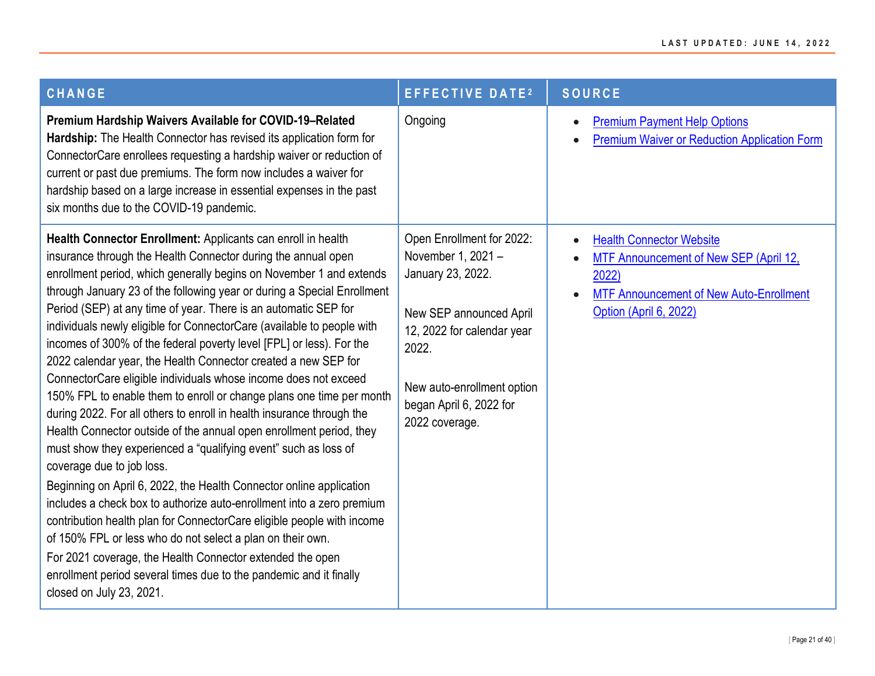| <b>CHANGE</b>                                                                                                                                                                                                                                                                                                                                                                                                                                                                                                                                                                                                                                                                                                                                                                                                                                                                                                                                                                                                                                                                                                                                                                                                                                                                                                                                                                                                            | <b>EFFECTIVE DATE2</b>                                                                                                                                                                                            | <b>SOURCE</b>                                                                                                                                                                                         |
|--------------------------------------------------------------------------------------------------------------------------------------------------------------------------------------------------------------------------------------------------------------------------------------------------------------------------------------------------------------------------------------------------------------------------------------------------------------------------------------------------------------------------------------------------------------------------------------------------------------------------------------------------------------------------------------------------------------------------------------------------------------------------------------------------------------------------------------------------------------------------------------------------------------------------------------------------------------------------------------------------------------------------------------------------------------------------------------------------------------------------------------------------------------------------------------------------------------------------------------------------------------------------------------------------------------------------------------------------------------------------------------------------------------------------|-------------------------------------------------------------------------------------------------------------------------------------------------------------------------------------------------------------------|-------------------------------------------------------------------------------------------------------------------------------------------------------------------------------------------------------|
| Premium Hardship Waivers Available for COVID-19-Related<br>Hardship: The Health Connector has revised its application form for<br>ConnectorCare enrollees requesting a hardship waiver or reduction of<br>current or past due premiums. The form now includes a waiver for<br>hardship based on a large increase in essential expenses in the past<br>six months due to the COVID-19 pandemic.                                                                                                                                                                                                                                                                                                                                                                                                                                                                                                                                                                                                                                                                                                                                                                                                                                                                                                                                                                                                                           | Ongoing                                                                                                                                                                                                           | <b>Premium Payment Help Options</b><br>$\bullet$<br><b>Premium Waiver or Reduction Application Form</b><br>$\bullet$                                                                                  |
| Health Connector Enrollment: Applicants can enroll in health<br>insurance through the Health Connector during the annual open<br>enrollment period, which generally begins on November 1 and extends<br>through January 23 of the following year or during a Special Enrollment<br>Period (SEP) at any time of year. There is an automatic SEP for<br>individuals newly eligible for ConnectorCare (available to people with<br>incomes of 300% of the federal poverty level [FPL] or less). For the<br>2022 calendar year, the Health Connector created a new SEP for<br>ConnectorCare eligible individuals whose income does not exceed<br>150% FPL to enable them to enroll or change plans one time per month<br>during 2022. For all others to enroll in health insurance through the<br>Health Connector outside of the annual open enrollment period, they<br>must show they experienced a "qualifying event" such as loss of<br>coverage due to job loss.<br>Beginning on April 6, 2022, the Health Connector online application<br>includes a check box to authorize auto-enrollment into a zero premium<br>contribution health plan for ConnectorCare eligible people with income<br>of 150% FPL or less who do not select a plan on their own.<br>For 2021 coverage, the Health Connector extended the open<br>enrollment period several times due to the pandemic and it finally<br>closed on July 23, 2021. | Open Enrollment for 2022:<br>November 1, 2021 -<br>January 23, 2022.<br>New SEP announced April<br>12, 2022 for calendar year<br>2022.<br>New auto-enrollment option<br>began April 6, 2022 for<br>2022 coverage. | <b>Health Connector Website</b><br>$\bullet$<br>MTF Announcement of New SEP (April 12,<br>$\bullet$<br>2022)<br><b>MTF Announcement of New Auto-Enrollment</b><br>$\bullet$<br>Option (April 6, 2022) |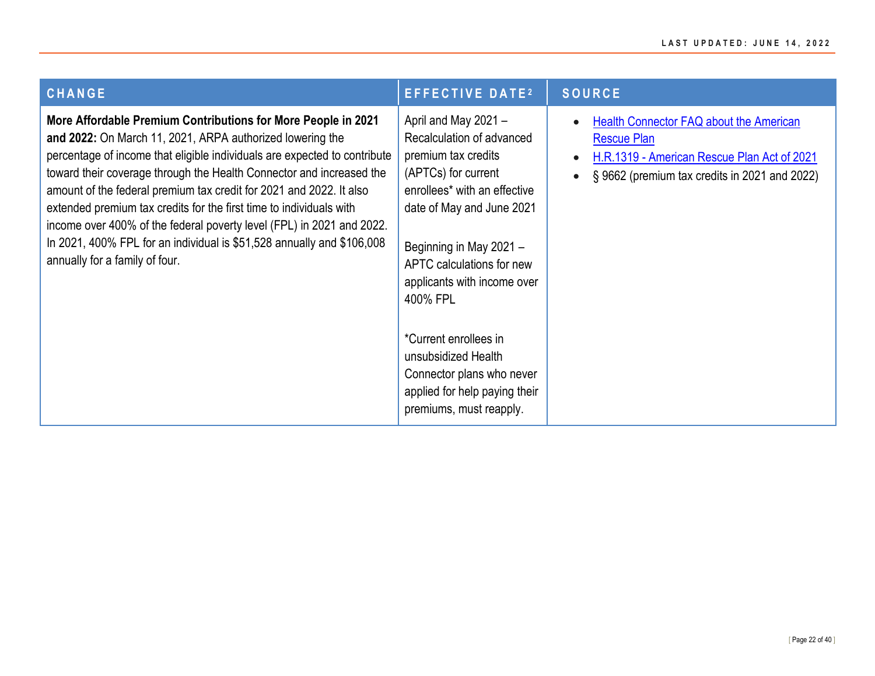| <b>CHANGE</b>                                                                                                                                                                                                                                                                                                                                                                                                                                                                                                                                                                                                      | <b>EFFECTIVE DATE2</b>                                                                                                                                                                                                                                                                                          | <b>SOURCE</b>                                                                                                                                                             |
|--------------------------------------------------------------------------------------------------------------------------------------------------------------------------------------------------------------------------------------------------------------------------------------------------------------------------------------------------------------------------------------------------------------------------------------------------------------------------------------------------------------------------------------------------------------------------------------------------------------------|-----------------------------------------------------------------------------------------------------------------------------------------------------------------------------------------------------------------------------------------------------------------------------------------------------------------|---------------------------------------------------------------------------------------------------------------------------------------------------------------------------|
| More Affordable Premium Contributions for More People in 2021<br>and 2022: On March 11, 2021, ARPA authorized lowering the<br>percentage of income that eligible individuals are expected to contribute<br>toward their coverage through the Health Connector and increased the<br>amount of the federal premium tax credit for 2021 and 2022. It also<br>extended premium tax credits for the first time to individuals with<br>income over 400% of the federal poverty level (FPL) in 2021 and 2022.<br>In 2021, 400% FPL for an individual is \$51,528 annually and \$106,008<br>annually for a family of four. | April and May 2021 -<br>Recalculation of advanced<br>premium tax credits<br>(APTCs) for current<br>enrollees* with an effective<br>date of May and June 2021<br>Beginning in May 2021 -<br>APTC calculations for new<br>applicants with income over<br>400% FPL<br>*Current enrollees in<br>unsubsidized Health | Health Connector FAQ about the American<br><b>Rescue Plan</b><br>H.R.1319 - American Rescue Plan Act of 2021<br>§9662 (premium tax credits in 2021 and 2022)<br>$\bullet$ |
|                                                                                                                                                                                                                                                                                                                                                                                                                                                                                                                                                                                                                    | Connector plans who never<br>applied for help paying their<br>premiums, must reapply.                                                                                                                                                                                                                           |                                                                                                                                                                           |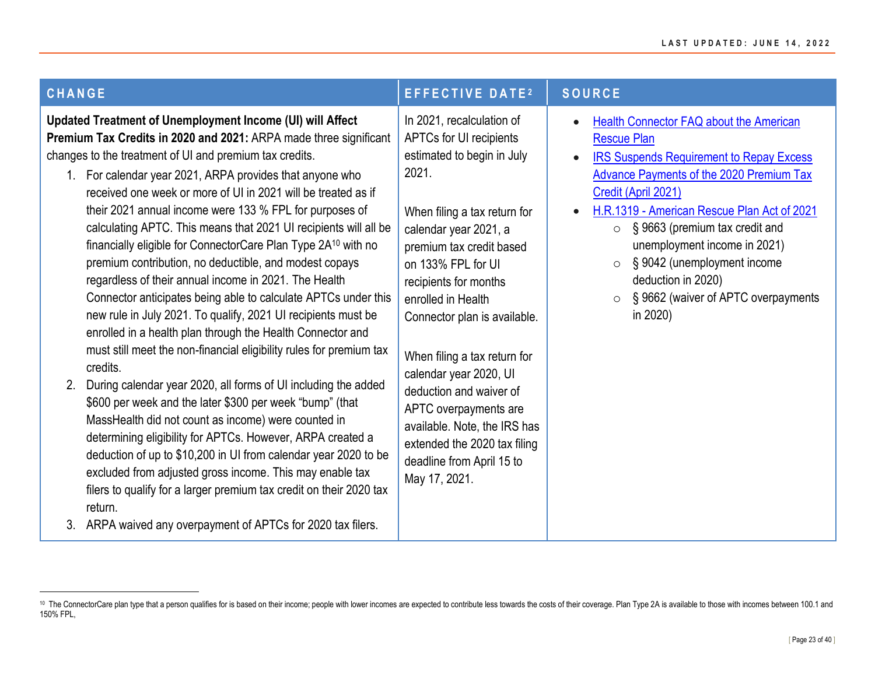| <b>CHANGE</b>                                                                                                                                                                                                                                                                                                                                                                                                                                                                                                                                                                                                                                                                                                                                                                                                                                                                                                                                                                                                                                                                                                                                                                                                                                                                                                                                                                                                                                                                        | <b>EFFECTIVE DATE2</b>                                                                                                                                                                                                                                                                                                                                                                                                                                                                                            | <b>SOURCE</b>                                                                                                                                                                                                                                                                                                                                                                                                                                        |
|--------------------------------------------------------------------------------------------------------------------------------------------------------------------------------------------------------------------------------------------------------------------------------------------------------------------------------------------------------------------------------------------------------------------------------------------------------------------------------------------------------------------------------------------------------------------------------------------------------------------------------------------------------------------------------------------------------------------------------------------------------------------------------------------------------------------------------------------------------------------------------------------------------------------------------------------------------------------------------------------------------------------------------------------------------------------------------------------------------------------------------------------------------------------------------------------------------------------------------------------------------------------------------------------------------------------------------------------------------------------------------------------------------------------------------------------------------------------------------------|-------------------------------------------------------------------------------------------------------------------------------------------------------------------------------------------------------------------------------------------------------------------------------------------------------------------------------------------------------------------------------------------------------------------------------------------------------------------------------------------------------------------|------------------------------------------------------------------------------------------------------------------------------------------------------------------------------------------------------------------------------------------------------------------------------------------------------------------------------------------------------------------------------------------------------------------------------------------------------|
| <b>Updated Treatment of Unemployment Income (UI) will Affect</b><br>Premium Tax Credits in 2020 and 2021: ARPA made three significant<br>changes to the treatment of UI and premium tax credits.<br>1. For calendar year 2021, ARPA provides that anyone who<br>received one week or more of UI in 2021 will be treated as if<br>their 2021 annual income were 133 % FPL for purposes of<br>calculating APTC. This means that 2021 UI recipients will all be<br>financially eligible for ConnectorCare Plan Type 2A <sup>10</sup> with no<br>premium contribution, no deductible, and modest copays<br>regardless of their annual income in 2021. The Health<br>Connector anticipates being able to calculate APTCs under this<br>new rule in July 2021. To qualify, 2021 UI recipients must be<br>enrolled in a health plan through the Health Connector and<br>must still meet the non-financial eligibility rules for premium tax<br>credits.<br>During calendar year 2020, all forms of UI including the added<br>\$600 per week and the later \$300 per week "bump" (that<br>MassHealth did not count as income) were counted in<br>determining eligibility for APTCs. However, ARPA created a<br>deduction of up to \$10,200 in UI from calendar year 2020 to be<br>excluded from adjusted gross income. This may enable tax<br>filers to qualify for a larger premium tax credit on their 2020 tax<br>return.<br>3. ARPA waived any overpayment of APTCs for 2020 tax filers. | In 2021, recalculation of<br>APTCs for UI recipients<br>estimated to begin in July<br>2021.<br>When filing a tax return for<br>calendar year 2021, a<br>premium tax credit based<br>on 133% FPL for UI<br>recipients for months<br>enrolled in Health<br>Connector plan is available.<br>When filing a tax return for<br>calendar year 2020, UI<br>deduction and waiver of<br>APTC overpayments are<br>available. Note, the IRS has<br>extended the 2020 tax filing<br>deadline from April 15 to<br>May 17, 2021. | Health Connector FAQ about the American<br><b>Rescue Plan</b><br><b>IRS Suspends Requirement to Repay Excess</b><br><b>Advance Payments of the 2020 Premium Tax</b><br>Credit (April 2021)<br>H.R.1319 - American Rescue Plan Act of 2021<br>§ 9663 (premium tax credit and<br>$\circ$<br>unemployment income in 2021)<br>§ 9042 (unemployment income<br>$\circ$<br>deduction in 2020)<br>§ 9662 (waiver of APTC overpayments<br>$\circ$<br>in 2020) |

<sup>10</sup> The ConnectorCare plan type that a person qualifies for is based on their income; people with lower incomes are expected to contribute less towards the costs of their coverage. Plan Type 2A is available to those with in 150% FPL,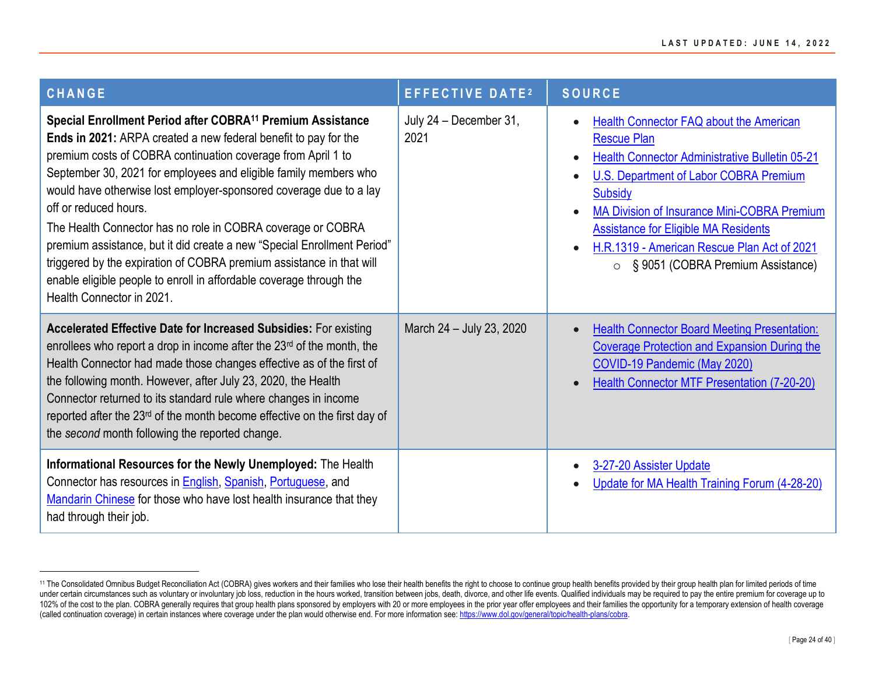| <b>CHANGE</b>                                                                                                                                                                                                                                                                                                                                                                                                                                                                                                                                                                                                                                                                                      | <b>EFFECTIVE DATE2</b>         | <b>SOURCE</b>                                                                                                                                                                                                                                                                                                                                                                                                                        |
|----------------------------------------------------------------------------------------------------------------------------------------------------------------------------------------------------------------------------------------------------------------------------------------------------------------------------------------------------------------------------------------------------------------------------------------------------------------------------------------------------------------------------------------------------------------------------------------------------------------------------------------------------------------------------------------------------|--------------------------------|--------------------------------------------------------------------------------------------------------------------------------------------------------------------------------------------------------------------------------------------------------------------------------------------------------------------------------------------------------------------------------------------------------------------------------------|
| Special Enrollment Period after COBRA <sup>11</sup> Premium Assistance<br>Ends in 2021: ARPA created a new federal benefit to pay for the<br>premium costs of COBRA continuation coverage from April 1 to<br>September 30, 2021 for employees and eligible family members who<br>would have otherwise lost employer-sponsored coverage due to a lay<br>off or reduced hours.<br>The Health Connector has no role in COBRA coverage or COBRA<br>premium assistance, but it did create a new "Special Enrollment Period"<br>triggered by the expiration of COBRA premium assistance in that will<br>enable eligible people to enroll in affordable coverage through the<br>Health Connector in 2021. | July 24 - December 31,<br>2021 | <b>Health Connector FAQ about the American</b><br>$\bullet$<br><b>Rescue Plan</b><br><b>Health Connector Administrative Bulletin 05-21</b><br>$\bullet$<br>U.S. Department of Labor COBRA Premium<br><b>Subsidy</b><br><b>MA Division of Insurance Mini-COBRA Premium</b><br><b>Assistance for Eligible MA Residents</b><br>H.R.1319 - American Rescue Plan Act of 2021<br>$\bullet$<br>§ 9051 (COBRA Premium Assistance)<br>$\circ$ |
| <b>Accelerated Effective Date for Increased Subsidies: For existing</b><br>enrollees who report a drop in income after the 23rd of the month, the<br>Health Connector had made those changes effective as of the first of<br>the following month. However, after July 23, 2020, the Health<br>Connector returned to its standard rule where changes in income<br>reported after the 23 <sup>rd</sup> of the month become effective on the first day of<br>the second month following the reported change.                                                                                                                                                                                          | March 24 - July 23, 2020       | <b>Health Connector Board Meeting Presentation:</b><br><b>Coverage Protection and Expansion During the</b><br>COVID-19 Pandemic (May 2020)<br><b>Health Connector MTF Presentation (7-20-20)</b>                                                                                                                                                                                                                                     |
| Informational Resources for the Newly Unemployed: The Health<br>Connector has resources in English, Spanish, Portuguese, and<br>Mandarin Chinese for those who have lost health insurance that they<br>had through their job.                                                                                                                                                                                                                                                                                                                                                                                                                                                                      |                                | 3-27-20 Assister Update<br>Update for MA Health Training Forum (4-28-20)                                                                                                                                                                                                                                                                                                                                                             |

<sup>&</sup>lt;sup>11</sup> The Consolidated Omnibus Budget Reconciliation Act (COBRA) gives workers and their families who lose their health benefits the right to choose to continue group health benefits provided by their group health plan for under certain circumstances such as voluntary or involuntary job loss, reduction in the hours worked, transition between jobs, death, divorce, and other life events. Qualified individuals may be required to pay the entire 102% of the cost to the plan. COBRA generally requires that group health plans sponsored by employers with 20 or more employees in the prior year offer employees and their families the opportunity for a temporary extension (called continuation coverage) in certain instances where coverage under the plan would otherwise end. For more information see[: https://www.dol.gov/general/topic/health-plans/cobra.](https://www.dol.gov/general/topic/health-plans/cobra)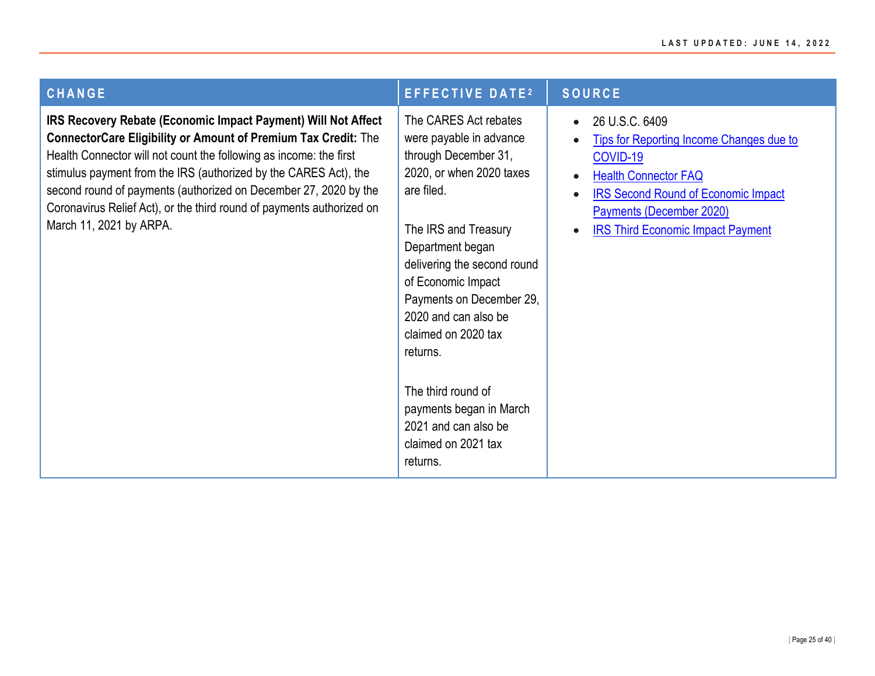| <b>CHANGE</b>                                                                                                                                                                                                                                                                                                                                                                                                                                            | <b>EFFECTIVE DATE<sup>2</sup></b>                                                                                                                                                                                                                                                                                                                                                                                      | <b>SOURCE</b>                                                                                                                                                                                                                             |
|----------------------------------------------------------------------------------------------------------------------------------------------------------------------------------------------------------------------------------------------------------------------------------------------------------------------------------------------------------------------------------------------------------------------------------------------------------|------------------------------------------------------------------------------------------------------------------------------------------------------------------------------------------------------------------------------------------------------------------------------------------------------------------------------------------------------------------------------------------------------------------------|-------------------------------------------------------------------------------------------------------------------------------------------------------------------------------------------------------------------------------------------|
| IRS Recovery Rebate (Economic Impact Payment) Will Not Affect<br><b>ConnectorCare Eligibility or Amount of Premium Tax Credit:</b> The<br>Health Connector will not count the following as income: the first<br>stimulus payment from the IRS (authorized by the CARES Act), the<br>second round of payments (authorized on December 27, 2020 by the<br>Coronavirus Relief Act), or the third round of payments authorized on<br>March 11, 2021 by ARPA. | The CARES Act rebates<br>were payable in advance<br>through December 31,<br>2020, or when 2020 taxes<br>are filed.<br>The IRS and Treasury<br>Department began<br>delivering the second round<br>of Economic Impact<br>Payments on December 29,<br>2020 and can also be<br>claimed on 2020 tax<br>returns.<br>The third round of<br>payments began in March<br>2021 and can also be<br>claimed on 2021 tax<br>returns. | 26 U.S.C. 6409<br><b>Tips for Reporting Income Changes due to</b><br>COVID-19<br><b>Health Connector FAQ</b><br><b>IRS Second Round of Economic Impact</b><br><b>Payments (December 2020)</b><br><b>IRS Third Economic Impact Payment</b> |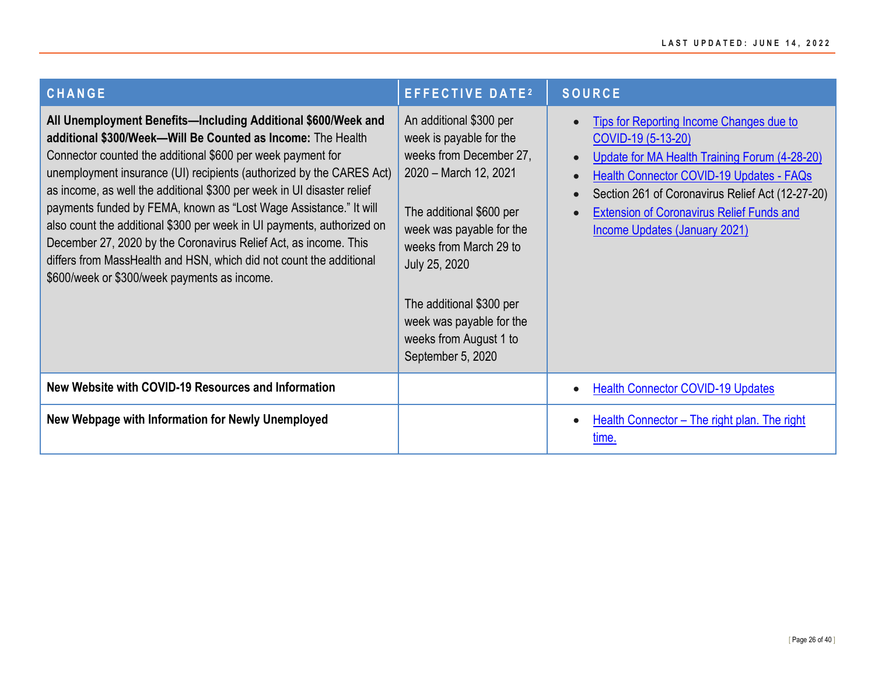| CHANGE                                                                                                                                                                                                                                                                                                                                                                                                                                                                                                                                                                                                                                                                                  | <b>EFFECTIVE DATE2</b>                                                                                                                                                                                                                                                                                           | <b>SOURCE</b>                                                                                                                                                                                                                                                                                        |
|-----------------------------------------------------------------------------------------------------------------------------------------------------------------------------------------------------------------------------------------------------------------------------------------------------------------------------------------------------------------------------------------------------------------------------------------------------------------------------------------------------------------------------------------------------------------------------------------------------------------------------------------------------------------------------------------|------------------------------------------------------------------------------------------------------------------------------------------------------------------------------------------------------------------------------------------------------------------------------------------------------------------|------------------------------------------------------------------------------------------------------------------------------------------------------------------------------------------------------------------------------------------------------------------------------------------------------|
| All Unemployment Benefits—Including Additional \$600/Week and<br>additional \$300/Week-Will Be Counted as Income: The Health<br>Connector counted the additional \$600 per week payment for<br>unemployment insurance (UI) recipients (authorized by the CARES Act)<br>as income, as well the additional \$300 per week in UI disaster relief<br>payments funded by FEMA, known as "Lost Wage Assistance." It will<br>also count the additional \$300 per week in UI payments, authorized on<br>December 27, 2020 by the Coronavirus Relief Act, as income. This<br>differs from MassHealth and HSN, which did not count the additional<br>\$600/week or \$300/week payments as income. | An additional \$300 per<br>week is payable for the<br>weeks from December 27,<br>2020 - March 12, 2021<br>The additional \$600 per<br>week was payable for the<br>weeks from March 29 to<br>July 25, 2020<br>The additional \$300 per<br>week was payable for the<br>weeks from August 1 to<br>September 5, 2020 | Tips for Reporting Income Changes due to<br>COVID-19 (5-13-20)<br>Update for MA Health Training Forum (4-28-20)<br>Health Connector COVID-19 Updates - FAQs<br>Section 261 of Coronavirus Relief Act (12-27-20)<br><b>Extension of Coronavirus Relief Funds and</b><br>Income Updates (January 2021) |
| New Website with COVID-19 Resources and Information                                                                                                                                                                                                                                                                                                                                                                                                                                                                                                                                                                                                                                     |                                                                                                                                                                                                                                                                                                                  | <b>Health Connector COVID-19 Updates</b>                                                                                                                                                                                                                                                             |
| New Webpage with Information for Newly Unemployed                                                                                                                                                                                                                                                                                                                                                                                                                                                                                                                                                                                                                                       |                                                                                                                                                                                                                                                                                                                  | Health Connector – The right plan. The right<br>time.                                                                                                                                                                                                                                                |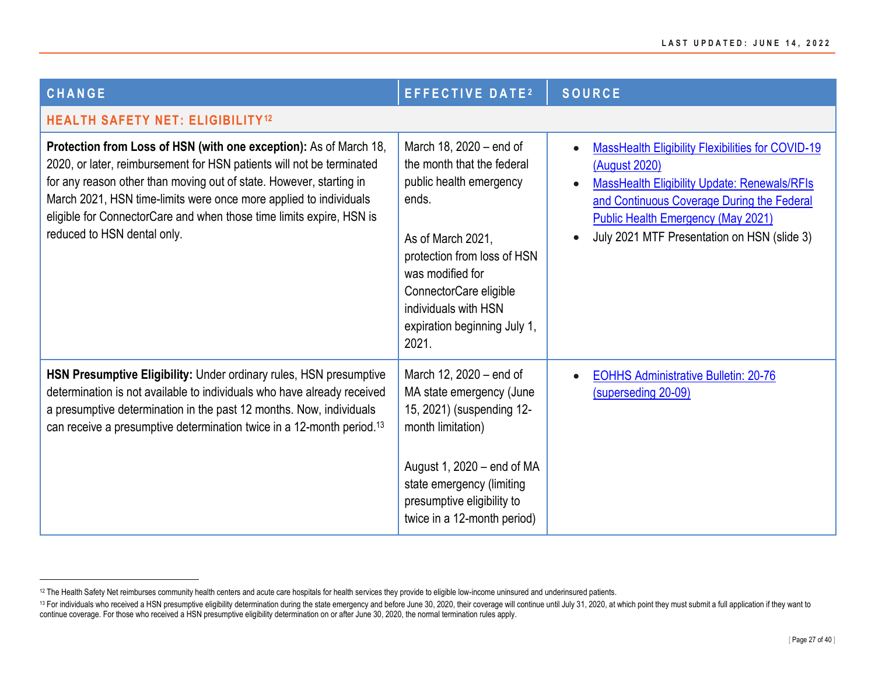<span id="page-26-0"></span>

| <b>CHANGE</b>                                                                                                                                                                                                                                                                                                                                                                                 | <b>EFFECTIVE DATE2</b>                                                                                                                                                                                                                                       | <b>SOURCE</b>                                                                                                                                                                                                                                                                           |
|-----------------------------------------------------------------------------------------------------------------------------------------------------------------------------------------------------------------------------------------------------------------------------------------------------------------------------------------------------------------------------------------------|--------------------------------------------------------------------------------------------------------------------------------------------------------------------------------------------------------------------------------------------------------------|-----------------------------------------------------------------------------------------------------------------------------------------------------------------------------------------------------------------------------------------------------------------------------------------|
| <b>HEALTH SAFETY NET: ELIGIBILITY<sup>12</sup></b>                                                                                                                                                                                                                                                                                                                                            |                                                                                                                                                                                                                                                              |                                                                                                                                                                                                                                                                                         |
| Protection from Loss of HSN (with one exception): As of March 18,<br>2020, or later, reimbursement for HSN patients will not be terminated<br>for any reason other than moving out of state. However, starting in<br>March 2021, HSN time-limits were once more applied to individuals<br>eligible for ConnectorCare and when those time limits expire, HSN is<br>reduced to HSN dental only. | March 18, 2020 – end of<br>the month that the federal<br>public health emergency<br>ends.<br>As of March 2021,<br>protection from loss of HSN<br>was modified for<br>ConnectorCare eligible<br>individuals with HSN<br>expiration beginning July 1,<br>2021. | <b>MassHealth Eligibility Flexibilities for COVID-19</b><br>$\bullet$<br>(August 2020)<br><b>MassHealth Eligibility Update: Renewals/RFIs</b><br>and Continuous Coverage During the Federal<br><b>Public Health Emergency (May 2021)</b><br>July 2021 MTF Presentation on HSN (slide 3) |
| HSN Presumptive Eligibility: Under ordinary rules, HSN presumptive<br>determination is not available to individuals who have already received<br>a presumptive determination in the past 12 months. Now, individuals<br>can receive a presumptive determination twice in a 12-month period. <sup>13</sup>                                                                                     | March 12, 2020 – end of<br>MA state emergency (June<br>15, 2021) (suspending 12-<br>month limitation)<br>August 1, $2020 - end$ of MA<br>state emergency (limiting<br>presumptive eligibility to<br>twice in a 12-month period)                              | <b>EOHHS Administrative Bulletin: 20-76</b><br>$\bullet$<br>(superseding 20-09)                                                                                                                                                                                                         |

<sup>&</sup>lt;sup>12</sup> The Health Safety Net reimburses community health centers and acute care hospitals for health services they provide to eligible low-income uninsured and underinsured patients.

<sup>&</sup>lt;sup>13</sup> For individuals who received a HSN presumptive eligibility determination during the state emergency and before June 30, 2020, their coverage will continue until July 31, 2020, at which point they must submit a full ap continue coverage. For those who received a HSN presumptive eligibility determination on or after June 30, 2020, the normal termination rules apply.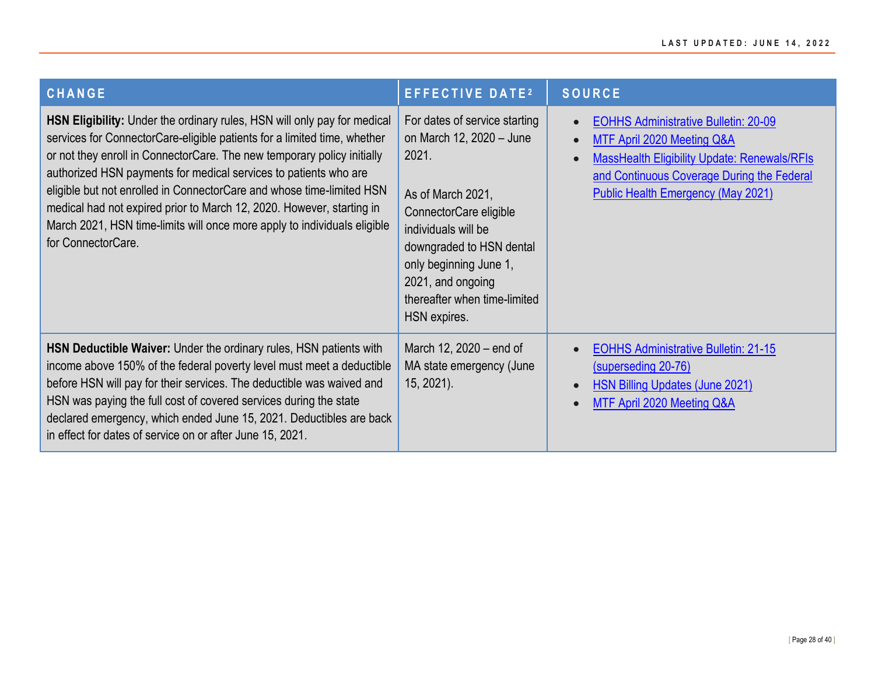| <b>CHANGE</b>                                                                                                                                                                                                                                                                                                                                                                                                                                                                                                                                           | <b>EFFECTIVE DATE2</b>                                                                                                                                                                                                                                              | <b>SOURCE</b>                                                                                                                                                                                                                                  |
|---------------------------------------------------------------------------------------------------------------------------------------------------------------------------------------------------------------------------------------------------------------------------------------------------------------------------------------------------------------------------------------------------------------------------------------------------------------------------------------------------------------------------------------------------------|---------------------------------------------------------------------------------------------------------------------------------------------------------------------------------------------------------------------------------------------------------------------|------------------------------------------------------------------------------------------------------------------------------------------------------------------------------------------------------------------------------------------------|
| HSN Eligibility: Under the ordinary rules, HSN will only pay for medical<br>services for ConnectorCare-eligible patients for a limited time, whether<br>or not they enroll in ConnectorCare. The new temporary policy initially<br>authorized HSN payments for medical services to patients who are<br>eligible but not enrolled in ConnectorCare and whose time-limited HSN<br>medical had not expired prior to March 12, 2020. However, starting in<br>March 2021, HSN time-limits will once more apply to individuals eligible<br>for ConnectorCare. | For dates of service starting<br>on March 12, 2020 - June<br>2021.<br>As of March 2021,<br>ConnectorCare eligible<br>individuals will be<br>downgraded to HSN dental<br>only beginning June 1,<br>2021, and ongoing<br>thereafter when time-limited<br>HSN expires. | <b>EOHHS Administrative Bulletin: 20-09</b><br>$\bullet$<br>MTF April 2020 Meeting Q&A<br>$\bullet$<br>MassHealth Eligibility Update: Renewals/RFIs<br>and Continuous Coverage During the Federal<br><b>Public Health Emergency (May 2021)</b> |
| HSN Deductible Waiver: Under the ordinary rules, HSN patients with<br>income above 150% of the federal poverty level must meet a deductible<br>before HSN will pay for their services. The deductible was waived and<br>HSN was paying the full cost of covered services during the state<br>declared emergency, which ended June 15, 2021. Deductibles are back<br>in effect for dates of service on or after June 15, 2021.                                                                                                                           | March 12, 2020 – end of<br>MA state emergency (June<br>$15, 2021$ ).                                                                                                                                                                                                | <b>EOHHS Administrative Bulletin: 21-15</b><br>$\bullet$<br>(superseding 20-76)<br><b>HSN Billing Updates (June 2021)</b><br>$\bullet$<br>MTF April 2020 Meeting Q&A                                                                           |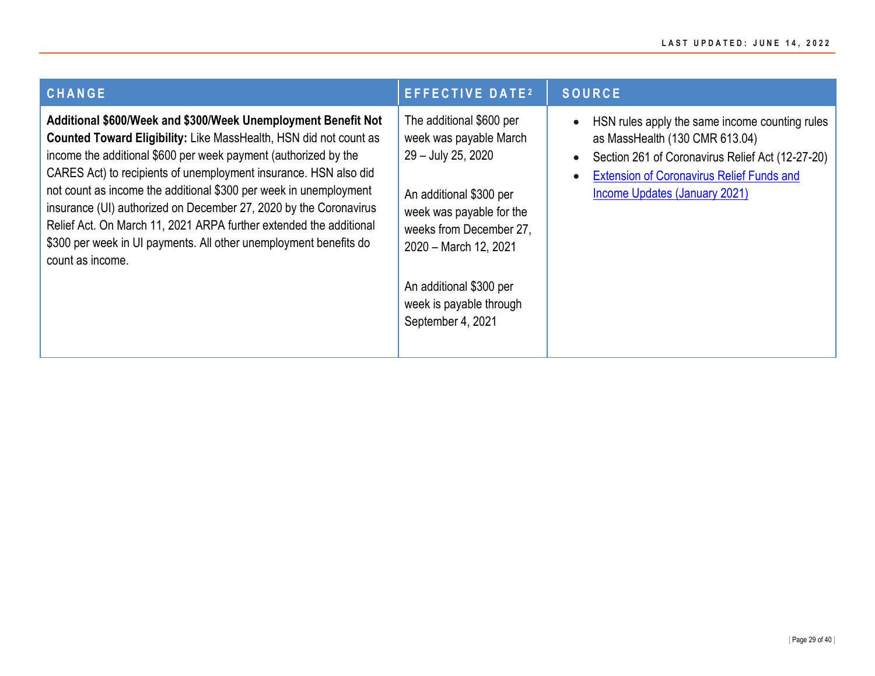| <b>CHANGE</b>                                                                                                                                                                                                                                                                                                                                                                                                                                                                                                                                                                      | <b>EFFECTIVE DATE2</b>                                                                                                                                                                                                                                         | <b>SOURCE</b>                                                                                                                                                                                                             |
|------------------------------------------------------------------------------------------------------------------------------------------------------------------------------------------------------------------------------------------------------------------------------------------------------------------------------------------------------------------------------------------------------------------------------------------------------------------------------------------------------------------------------------------------------------------------------------|----------------------------------------------------------------------------------------------------------------------------------------------------------------------------------------------------------------------------------------------------------------|---------------------------------------------------------------------------------------------------------------------------------------------------------------------------------------------------------------------------|
| Additional \$600/Week and \$300/Week Unemployment Benefit Not<br>Counted Toward Eligibility: Like MassHealth, HSN did not count as<br>income the additional \$600 per week payment (authorized by the<br>CARES Act) to recipients of unemployment insurance. HSN also did<br>not count as income the additional \$300 per week in unemployment<br>insurance (UI) authorized on December 27, 2020 by the Coronavirus<br>Relief Act. On March 11, 2021 ARPA further extended the additional<br>\$300 per week in UI payments. All other unemployment benefits do<br>count as income. | The additional \$600 per<br>week was payable March<br>29 - July 25, 2020<br>An additional \$300 per<br>week was payable for the<br>weeks from December 27.<br>2020 - March 12, 2021<br>An additional \$300 per<br>week is payable through<br>September 4, 2021 | HSN rules apply the same income counting rules<br>as MassHealth (130 CMR 613.04)<br>Section 261 of Coronavirus Relief Act (12-27-20)<br><b>Extension of Coronavirus Relief Funds and</b><br>Income Updates (January 2021) |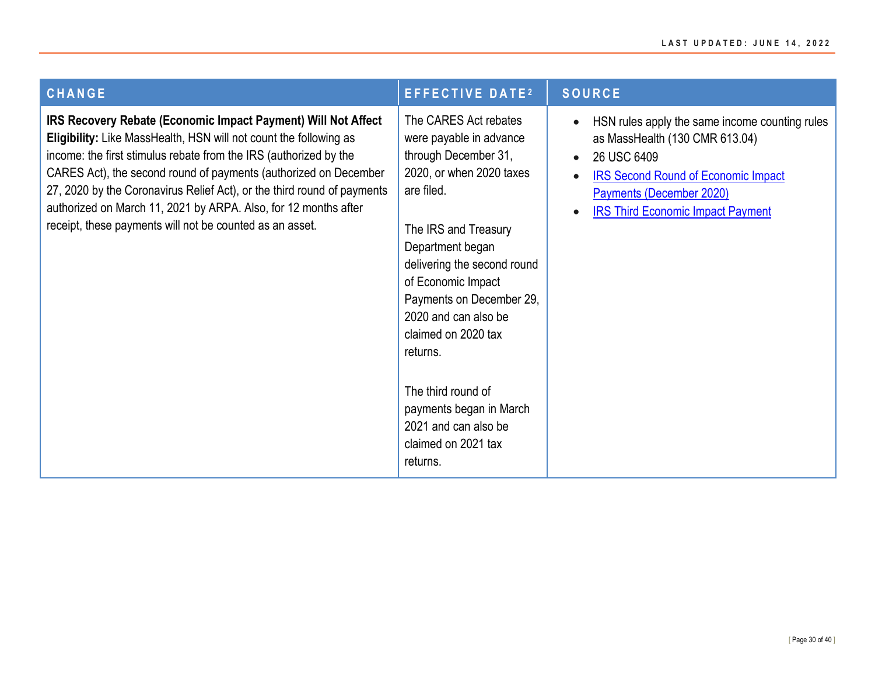| <b>CHANGE</b>                                                                                                                                                                                                                                                                                                                                                                                                                                                                         | <b>EFFECTIVE DATE<sup>2</sup></b>                                                                                                                                                                                                                                                                                                                                                                                      | <b>SOURCE</b>                                                                                                                                                                                                         |
|---------------------------------------------------------------------------------------------------------------------------------------------------------------------------------------------------------------------------------------------------------------------------------------------------------------------------------------------------------------------------------------------------------------------------------------------------------------------------------------|------------------------------------------------------------------------------------------------------------------------------------------------------------------------------------------------------------------------------------------------------------------------------------------------------------------------------------------------------------------------------------------------------------------------|-----------------------------------------------------------------------------------------------------------------------------------------------------------------------------------------------------------------------|
| IRS Recovery Rebate (Economic Impact Payment) Will Not Affect<br>Eligibility: Like MassHealth, HSN will not count the following as<br>income: the first stimulus rebate from the IRS (authorized by the<br>CARES Act), the second round of payments (authorized on December<br>27, 2020 by the Coronavirus Relief Act), or the third round of payments<br>authorized on March 11, 2021 by ARPA. Also, for 12 months after<br>receipt, these payments will not be counted as an asset. | The CARES Act rebates<br>were payable in advance<br>through December 31,<br>2020, or when 2020 taxes<br>are filed.<br>The IRS and Treasury<br>Department began<br>delivering the second round<br>of Economic Impact<br>Payments on December 29,<br>2020 and can also be<br>claimed on 2020 tax<br>returns.<br>The third round of<br>payments began in March<br>2021 and can also be<br>claimed on 2021 tax<br>returns. | HSN rules apply the same income counting rules<br>as MassHealth (130 CMR 613.04)<br>26 USC 6409<br><b>IRS Second Round of Economic Impact</b><br>Payments (December 2020)<br><b>IRS Third Economic Impact Payment</b> |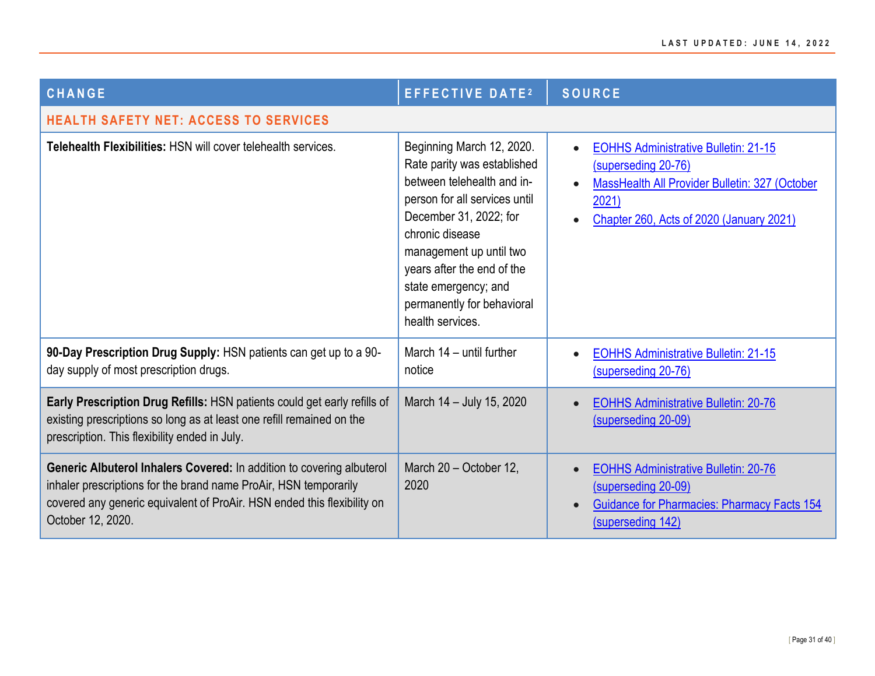<span id="page-30-0"></span>

| <b>CHANGE</b>                                                                                                                                                                                                                             | <b>EFFECTIVE DATE<sup>2</sup></b>                                                                                                                                                                                                                                                                       | <b>SOURCE</b>                                                                                                                                                                                 |
|-------------------------------------------------------------------------------------------------------------------------------------------------------------------------------------------------------------------------------------------|---------------------------------------------------------------------------------------------------------------------------------------------------------------------------------------------------------------------------------------------------------------------------------------------------------|-----------------------------------------------------------------------------------------------------------------------------------------------------------------------------------------------|
| <b>HEALTH SAFETY NET: ACCESS TO SERVICES</b>                                                                                                                                                                                              |                                                                                                                                                                                                                                                                                                         |                                                                                                                                                                                               |
| Telehealth Flexibilities: HSN will cover telehealth services.                                                                                                                                                                             | Beginning March 12, 2020.<br>Rate parity was established<br>between telehealth and in-<br>person for all services until<br>December 31, 2022; for<br>chronic disease<br>management up until two<br>years after the end of the<br>state emergency; and<br>permanently for behavioral<br>health services. | <b>EOHHS Administrative Bulletin: 21-15</b><br>$\bullet$<br>(superseding 20-76)<br><b>MassHealth All Provider Bulletin: 327 (October</b><br>2021)<br>Chapter 260, Acts of 2020 (January 2021) |
| 90-Day Prescription Drug Supply: HSN patients can get up to a 90-<br>day supply of most prescription drugs.                                                                                                                               | March 14 - until further<br>notice                                                                                                                                                                                                                                                                      | <b>EOHHS Administrative Bulletin: 21-15</b><br>(superseding 20-76)                                                                                                                            |
| Early Prescription Drug Refills: HSN patients could get early refills of<br>existing prescriptions so long as at least one refill remained on the<br>prescription. This flexibility ended in July.                                        | March 14 - July 15, 2020                                                                                                                                                                                                                                                                                | <b>EOHHS Administrative Bulletin: 20-76</b><br>(superseding 20-09)                                                                                                                            |
| Generic Albuterol Inhalers Covered: In addition to covering albuterol<br>inhaler prescriptions for the brand name ProAir, HSN temporarily<br>covered any generic equivalent of ProAir. HSN ended this flexibility on<br>October 12, 2020. | March 20 - October 12,<br>2020                                                                                                                                                                                                                                                                          | <b>EOHHS Administrative Bulletin: 20-76</b><br>(superseding 20-09)<br><b>Guidance for Pharmacies: Pharmacy Facts 154</b><br>(superseding 142)                                                 |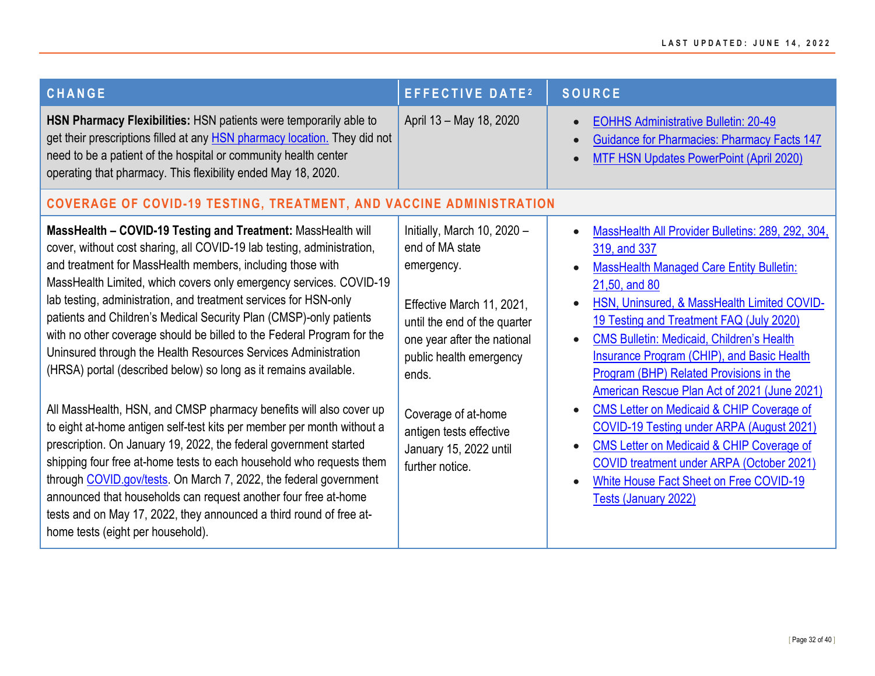<span id="page-31-0"></span>

| <b>CHANGE</b>                                                                                                                                                                                                                                                                                                                                                                                                                                                                                                                                                                                                                                                                                                                                                                                                                                                                                                                                                                                                                                                                                                                                                                         | <b>EFFECTIVE DATE2</b>                                                                                                                                                                                                                                                                      | <b>SOURCE</b>                                                                                                                                                                                                                                                                                                                                                                                                                                                                                                                                                                                                                                                                                                                                                   |
|---------------------------------------------------------------------------------------------------------------------------------------------------------------------------------------------------------------------------------------------------------------------------------------------------------------------------------------------------------------------------------------------------------------------------------------------------------------------------------------------------------------------------------------------------------------------------------------------------------------------------------------------------------------------------------------------------------------------------------------------------------------------------------------------------------------------------------------------------------------------------------------------------------------------------------------------------------------------------------------------------------------------------------------------------------------------------------------------------------------------------------------------------------------------------------------|---------------------------------------------------------------------------------------------------------------------------------------------------------------------------------------------------------------------------------------------------------------------------------------------|-----------------------------------------------------------------------------------------------------------------------------------------------------------------------------------------------------------------------------------------------------------------------------------------------------------------------------------------------------------------------------------------------------------------------------------------------------------------------------------------------------------------------------------------------------------------------------------------------------------------------------------------------------------------------------------------------------------------------------------------------------------------|
| HSN Pharmacy Flexibilities: HSN patients were temporarily able to<br>get their prescriptions filled at any HSN pharmacy location. They did not<br>need to be a patient of the hospital or community health center<br>operating that pharmacy. This flexibility ended May 18, 2020.                                                                                                                                                                                                                                                                                                                                                                                                                                                                                                                                                                                                                                                                                                                                                                                                                                                                                                    | April 13 - May 18, 2020                                                                                                                                                                                                                                                                     | <b>EOHHS Administrative Bulletin: 20-49</b><br><b>Guidance for Pharmacies: Pharmacy Facts 147</b><br><b>MTF HSN Updates PowerPoint (April 2020)</b>                                                                                                                                                                                                                                                                                                                                                                                                                                                                                                                                                                                                             |
| <b>COVERAGE OF COVID-19 TESTING, TREATMENT, AND VACCINE ADMINISTRATION</b>                                                                                                                                                                                                                                                                                                                                                                                                                                                                                                                                                                                                                                                                                                                                                                                                                                                                                                                                                                                                                                                                                                            |                                                                                                                                                                                                                                                                                             |                                                                                                                                                                                                                                                                                                                                                                                                                                                                                                                                                                                                                                                                                                                                                                 |
| MassHealth - COVID-19 Testing and Treatment: MassHealth will<br>cover, without cost sharing, all COVID-19 lab testing, administration,<br>and treatment for MassHealth members, including those with<br>MassHealth Limited, which covers only emergency services. COVID-19<br>lab testing, administration, and treatment services for HSN-only<br>patients and Children's Medical Security Plan (CMSP)-only patients<br>with no other coverage should be billed to the Federal Program for the<br>Uninsured through the Health Resources Services Administration<br>(HRSA) portal (described below) so long as it remains available.<br>All MassHealth, HSN, and CMSP pharmacy benefits will also cover up<br>to eight at-home antigen self-test kits per member per month without a<br>prescription. On January 19, 2022, the federal government started<br>shipping four free at-home tests to each household who requests them<br>through COVID gov/tests. On March 7, 2022, the federal government<br>announced that households can request another four free at-home<br>tests and on May 17, 2022, they announced a third round of free at-<br>home tests (eight per household). | Initially, March 10, 2020 -<br>end of MA state<br>emergency.<br>Effective March 11, 2021,<br>until the end of the quarter<br>one year after the national<br>public health emergency<br>ends.<br>Coverage of at-home<br>antigen tests effective<br>January 15, 2022 until<br>further notice. | MassHealth All Provider Bulletins: 289, 292, 304,<br>319, and 337<br><b>MassHealth Managed Care Entity Bulletin:</b><br>21,50, and 80<br>HSN, Uninsured, & MassHealth Limited COVID-<br>19 Testing and Treatment FAQ (July 2020)<br><b>CMS Bulletin: Medicaid, Children's Health</b><br>$\bullet$<br><b>Insurance Program (CHIP), and Basic Health</b><br>Program (BHP) Related Provisions in the<br>American Rescue Plan Act of 2021 (June 2021)<br><b>CMS Letter on Medicaid &amp; CHIP Coverage of</b><br>$\bullet$<br>COVID-19 Testing under ARPA (August 2021)<br><b>CMS Letter on Medicaid &amp; CHIP Coverage of</b><br><b>COVID treatment under ARPA (October 2021)</b><br>White House Fact Sheet on Free COVID-19<br>$\bullet$<br>Tests (January 2022) |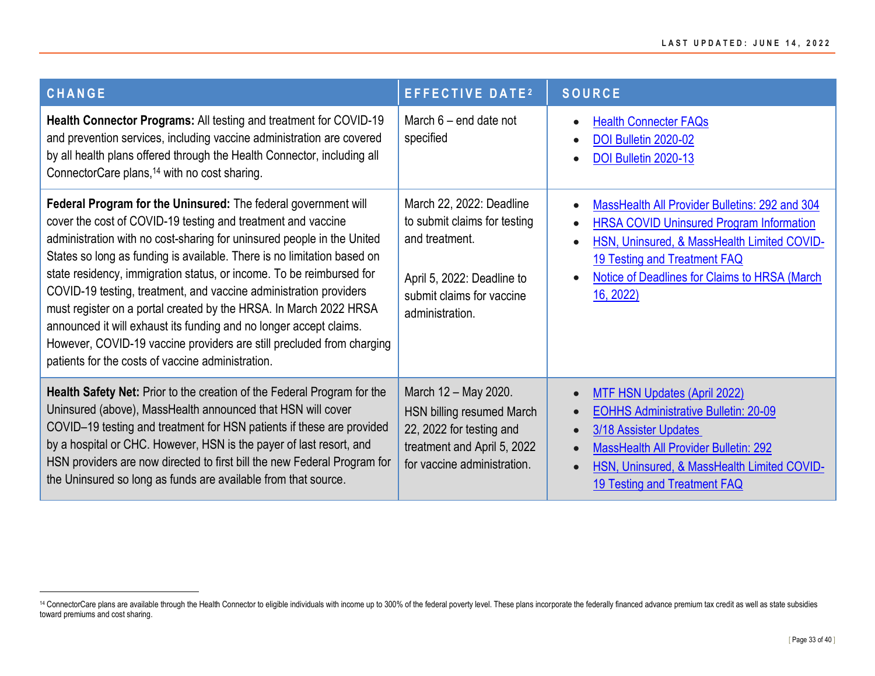| <b>CHANGE</b>                                                                                                                                                                                                                                                                                                                                                                                                                                                                                                                                                                                                                                                                                             | <b>EFFECTIVE DATE<sup>2</sup></b>                                                                                                                        | <b>SOURCE</b>                                                                                                                                                                                                                                                      |
|-----------------------------------------------------------------------------------------------------------------------------------------------------------------------------------------------------------------------------------------------------------------------------------------------------------------------------------------------------------------------------------------------------------------------------------------------------------------------------------------------------------------------------------------------------------------------------------------------------------------------------------------------------------------------------------------------------------|----------------------------------------------------------------------------------------------------------------------------------------------------------|--------------------------------------------------------------------------------------------------------------------------------------------------------------------------------------------------------------------------------------------------------------------|
| Health Connector Programs: All testing and treatment for COVID-19<br>and prevention services, including vaccine administration are covered<br>by all health plans offered through the Health Connector, including all<br>ConnectorCare plans, <sup>14</sup> with no cost sharing.                                                                                                                                                                                                                                                                                                                                                                                                                         | March $6$ – end date not<br>specified                                                                                                                    | <b>Health Connecter FAQs</b><br>$\bullet$<br>DOI Bulletin 2020-02<br>DOI Bulletin 2020-13                                                                                                                                                                          |
| Federal Program for the Uninsured: The federal government will<br>cover the cost of COVID-19 testing and treatment and vaccine<br>administration with no cost-sharing for uninsured people in the United<br>States so long as funding is available. There is no limitation based on<br>state residency, immigration status, or income. To be reimbursed for<br>COVID-19 testing, treatment, and vaccine administration providers<br>must register on a portal created by the HRSA. In March 2022 HRSA<br>announced it will exhaust its funding and no longer accept claims.<br>However, COVID-19 vaccine providers are still precluded from charging<br>patients for the costs of vaccine administration. | March 22, 2022: Deadline<br>to submit claims for testing<br>and treatment.<br>April 5, 2022: Deadline to<br>submit claims for vaccine<br>administration. | MassHealth All Provider Bulletins: 292 and 304<br>$\bullet$<br><b>HRSA COVID Uninsured Program Information</b><br>HSN, Uninsured, & MassHealth Limited COVID-<br>19 Testing and Treatment FAQ<br><b>Notice of Deadlines for Claims to HRSA (March)</b><br>16, 2022 |
| Health Safety Net: Prior to the creation of the Federal Program for the<br>Uninsured (above), MassHealth announced that HSN will cover<br>COVID-19 testing and treatment for HSN patients if these are provided<br>by a hospital or CHC. However, HSN is the payer of last resort, and<br>HSN providers are now directed to first bill the new Federal Program for<br>the Uninsured so long as funds are available from that source.                                                                                                                                                                                                                                                                      | March 12 - May 2020.<br>HSN billing resumed March<br>22, 2022 for testing and<br>treatment and April 5, 2022<br>for vaccine administration.              | <b>MTF HSN Updates (April 2022)</b><br><b>EOHHS Administrative Bulletin: 20-09</b><br>3/18 Assister Updates<br>$\bullet$<br>MassHealth All Provider Bulletin: 292<br>HSN, Uninsured, & MassHealth Limited COVID-<br>19 Testing and Treatment FAQ                   |

<sup>&</sup>lt;sup>14</sup> ConnectorCare plans are available through the Health Connector to eligible individuals with income up to 300% of the federal poverty level. These plans incorporate the federally financed advance premium tax credit as toward premiums and cost sharing.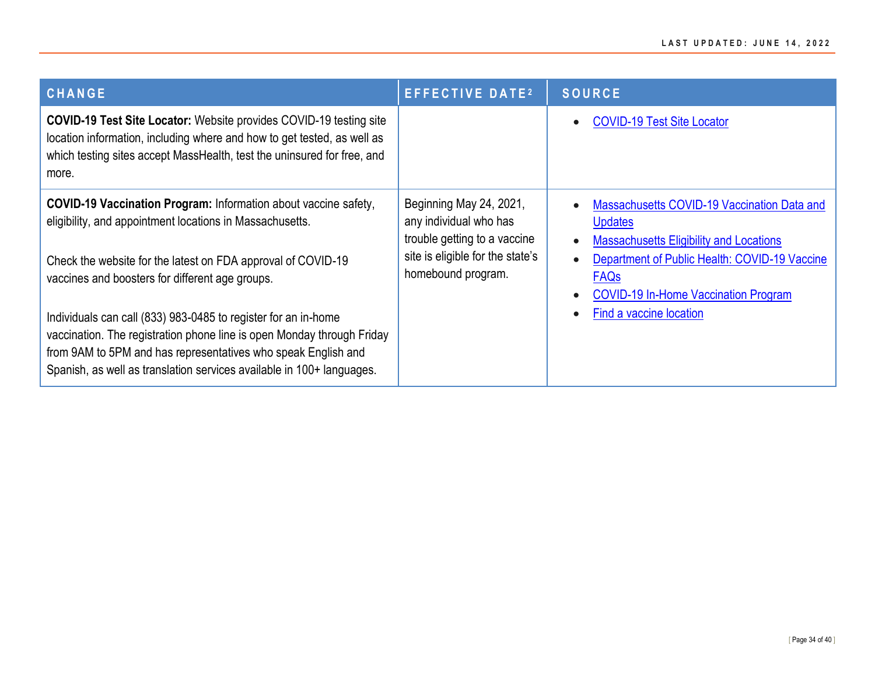| <b>CHANGE</b>                                                                                                                                                                                                                                                                      | <b>EFFECTIVE DATE2</b>                                                                                                                      | <b>SOURCE</b>                                                                                                                                                                   |
|------------------------------------------------------------------------------------------------------------------------------------------------------------------------------------------------------------------------------------------------------------------------------------|---------------------------------------------------------------------------------------------------------------------------------------------|---------------------------------------------------------------------------------------------------------------------------------------------------------------------------------|
| <b>COVID-19 Test Site Locator:</b> Website provides COVID-19 testing site<br>location information, including where and how to get tested, as well as<br>which testing sites accept MassHealth, test the uninsured for free, and<br>more.                                           |                                                                                                                                             | <b>COVID-19 Test Site Locator</b>                                                                                                                                               |
| <b>COVID-19 Vaccination Program:</b> Information about vaccine safety,<br>eligibility, and appointment locations in Massachusetts.<br>Check the website for the latest on FDA approval of COVID-19<br>vaccines and boosters for different age groups.                              | Beginning May 24, 2021,<br>any individual who has<br>trouble getting to a vaccine<br>site is eligible for the state's<br>homebound program. | Massachusetts COVID-19 Vaccination Data and<br><b>Updates</b><br><b>Massachusetts Eligibility and Locations</b><br>Department of Public Health: COVID-19 Vaccine<br><b>FAQs</b> |
| Individuals can call (833) 983-0485 to register for an in-home<br>vaccination. The registration phone line is open Monday through Friday<br>from 9AM to 5PM and has representatives who speak English and<br>Spanish, as well as translation services available in 100+ languages. |                                                                                                                                             | <b>COVID-19 In-Home Vaccination Program</b><br>Find a vaccine location                                                                                                          |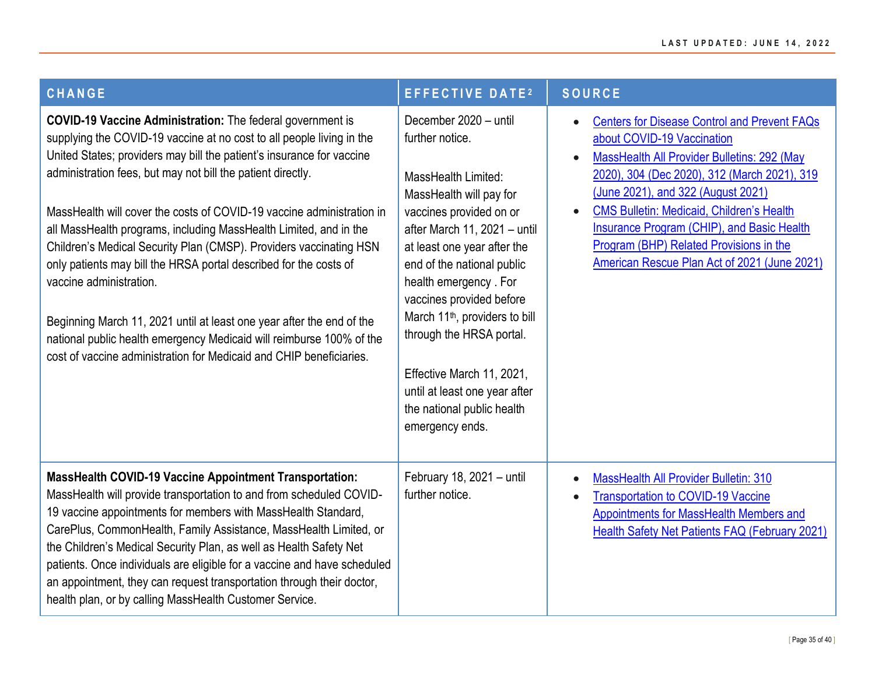| <b>CHANGE</b>                                                                                                                                                                                                                                                                                                                                                                                                                                                                                                                                                                                                                                                                                                                                                                                                                  | <b>EFFECTIVE DATE2</b>                                                                                                                                                                                                                                                                                                                                                                                                                                           | <b>SOURCE</b>                                                                                                                                                                                                                                                                                                                                                                                                                                              |
|--------------------------------------------------------------------------------------------------------------------------------------------------------------------------------------------------------------------------------------------------------------------------------------------------------------------------------------------------------------------------------------------------------------------------------------------------------------------------------------------------------------------------------------------------------------------------------------------------------------------------------------------------------------------------------------------------------------------------------------------------------------------------------------------------------------------------------|------------------------------------------------------------------------------------------------------------------------------------------------------------------------------------------------------------------------------------------------------------------------------------------------------------------------------------------------------------------------------------------------------------------------------------------------------------------|------------------------------------------------------------------------------------------------------------------------------------------------------------------------------------------------------------------------------------------------------------------------------------------------------------------------------------------------------------------------------------------------------------------------------------------------------------|
| <b>COVID-19 Vaccine Administration:</b> The federal government is<br>supplying the COVID-19 vaccine at no cost to all people living in the<br>United States; providers may bill the patient's insurance for vaccine<br>administration fees, but may not bill the patient directly.<br>MassHealth will cover the costs of COVID-19 vaccine administration in<br>all MassHealth programs, including MassHealth Limited, and in the<br>Children's Medical Security Plan (CMSP). Providers vaccinating HSN<br>only patients may bill the HRSA portal described for the costs of<br>vaccine administration.<br>Beginning March 11, 2021 until at least one year after the end of the<br>national public health emergency Medicaid will reimburse 100% of the<br>cost of vaccine administration for Medicaid and CHIP beneficiaries. | December 2020 - until<br>further notice.<br>MassHealth Limited:<br>MassHealth will pay for<br>vaccines provided on or<br>after March 11, 2021 - until<br>at least one year after the<br>end of the national public<br>health emergency. For<br>vaccines provided before<br>March 11 <sup>th</sup> , providers to bill<br>through the HRSA portal.<br>Effective March 11, 2021,<br>until at least one year after<br>the national public health<br>emergency ends. | <b>Centers for Disease Control and Prevent FAQs</b><br>$\bullet$<br>about COVID-19 Vaccination<br>MassHealth All Provider Bulletins: 292 (May<br>$\bullet$<br>2020), 304 (Dec 2020), 312 (March 2021), 319<br>(June 2021), and 322 (August 2021)<br><b>CMS Bulletin: Medicaid, Children's Health</b><br>$\bullet$<br>Insurance Program (CHIP), and Basic Health<br>Program (BHP) Related Provisions in the<br>American Rescue Plan Act of 2021 (June 2021) |
| <b>MassHealth COVID-19 Vaccine Appointment Transportation:</b><br>MassHealth will provide transportation to and from scheduled COVID-<br>19 vaccine appointments for members with MassHealth Standard,<br>CarePlus, CommonHealth, Family Assistance, MassHealth Limited, or<br>the Children's Medical Security Plan, as well as Health Safety Net<br>patients. Once individuals are eligible for a vaccine and have scheduled<br>an appointment, they can request transportation through their doctor,<br>health plan, or by calling MassHealth Customer Service.                                                                                                                                                                                                                                                              | February 18, 2021 - until<br>further notice.                                                                                                                                                                                                                                                                                                                                                                                                                     | <b>MassHealth All Provider Bulletin: 310</b><br>$\bullet$<br><b>Transportation to COVID-19 Vaccine</b><br>$\bullet$<br>Appointments for MassHealth Members and<br>Health Safety Net Patients FAQ (February 2021)                                                                                                                                                                                                                                           |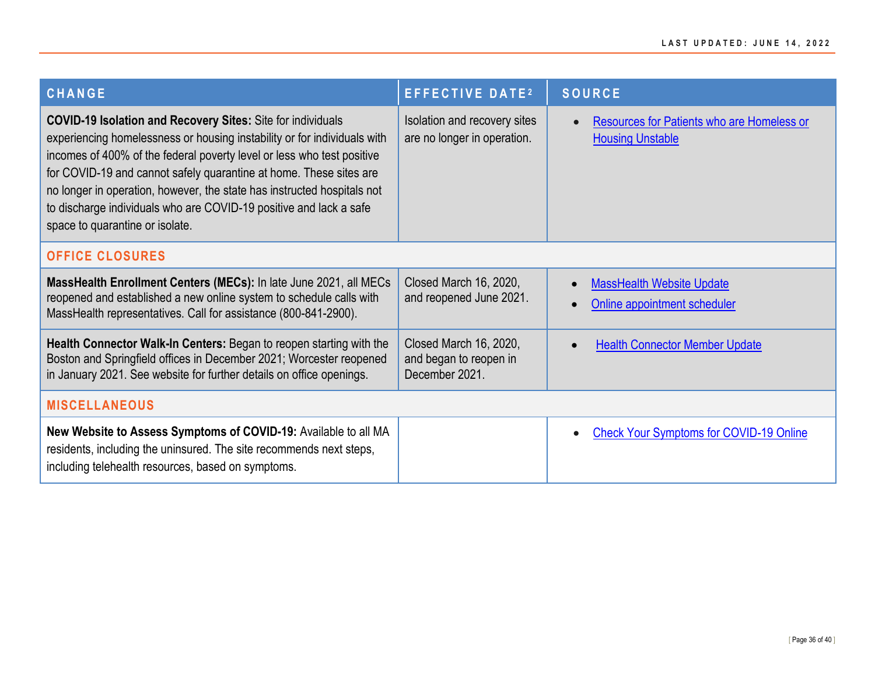<span id="page-35-1"></span><span id="page-35-0"></span>

| <b>CHANGE</b>                                                                                                                                                                                                                                                                                                                                                                                                                                                                      | <b>EFFECTIVE DATE2</b>                                             | <b>SOURCE</b>                                                         |
|------------------------------------------------------------------------------------------------------------------------------------------------------------------------------------------------------------------------------------------------------------------------------------------------------------------------------------------------------------------------------------------------------------------------------------------------------------------------------------|--------------------------------------------------------------------|-----------------------------------------------------------------------|
| <b>COVID-19 Isolation and Recovery Sites:</b> Site for individuals<br>experiencing homelessness or housing instability or for individuals with<br>incomes of 400% of the federal poverty level or less who test positive<br>for COVID-19 and cannot safely quarantine at home. These sites are<br>no longer in operation, however, the state has instructed hospitals not<br>to discharge individuals who are COVID-19 positive and lack a safe<br>space to quarantine or isolate. | Isolation and recovery sites<br>are no longer in operation.        | Resources for Patients who are Homeless or<br><b>Housing Unstable</b> |
| <b>OFFICE CLOSURES</b>                                                                                                                                                                                                                                                                                                                                                                                                                                                             |                                                                    |                                                                       |
| MassHealth Enrollment Centers (MECs): In late June 2021, all MECs<br>reopened and established a new online system to schedule calls with<br>MassHealth representatives. Call for assistance (800-841-2900).                                                                                                                                                                                                                                                                        | Closed March 16, 2020,<br>and reopened June 2021.                  | <b>MassHealth Website Update</b><br>Online appointment scheduler      |
| Health Connector Walk-In Centers: Began to reopen starting with the<br>Boston and Springfield offices in December 2021; Worcester reopened<br>in January 2021. See website for further details on office openings.                                                                                                                                                                                                                                                                 | Closed March 16, 2020,<br>and began to reopen in<br>December 2021. | <b>Health Connector Member Update</b>                                 |
| <b>MISCELLANEOUS</b>                                                                                                                                                                                                                                                                                                                                                                                                                                                               |                                                                    |                                                                       |
| New Website to Assess Symptoms of COVID-19: Available to all MA<br>residents, including the uninsured. The site recommends next steps,<br>including telehealth resources, based on symptoms.                                                                                                                                                                                                                                                                                       |                                                                    | <b>Check Your Symptoms for COVID-19 Online</b>                        |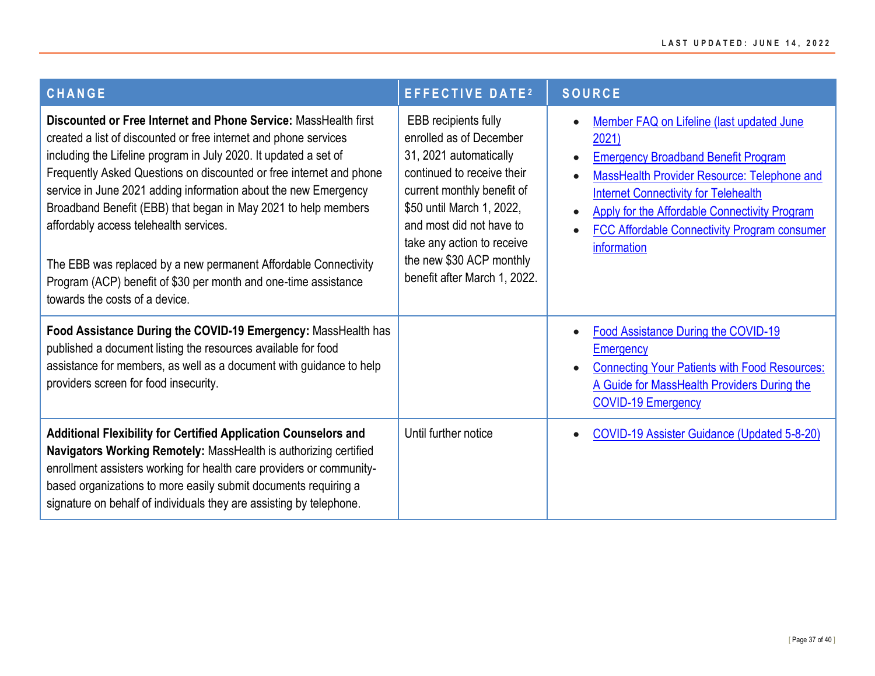| <b>CHANGE</b>                                                                                                                                                                                                                                                                                                                                                                                                                                                                                                                                                                                                                         | <b>EFFECTIVE DATE<sup>2</sup></b>                                                                                                                                                                                                                                                               | <b>SOURCE</b>                                                                                                                                                                                                                                                                                                                                   |
|---------------------------------------------------------------------------------------------------------------------------------------------------------------------------------------------------------------------------------------------------------------------------------------------------------------------------------------------------------------------------------------------------------------------------------------------------------------------------------------------------------------------------------------------------------------------------------------------------------------------------------------|-------------------------------------------------------------------------------------------------------------------------------------------------------------------------------------------------------------------------------------------------------------------------------------------------|-------------------------------------------------------------------------------------------------------------------------------------------------------------------------------------------------------------------------------------------------------------------------------------------------------------------------------------------------|
| Discounted or Free Internet and Phone Service: MassHealth first<br>created a list of discounted or free internet and phone services<br>including the Lifeline program in July 2020. It updated a set of<br>Frequently Asked Questions on discounted or free internet and phone<br>service in June 2021 adding information about the new Emergency<br>Broadband Benefit (EBB) that began in May 2021 to help members<br>affordably access telehealth services.<br>The EBB was replaced by a new permanent Affordable Connectivity<br>Program (ACP) benefit of \$30 per month and one-time assistance<br>towards the costs of a device. | <b>EBB</b> recipients fully<br>enrolled as of December<br>31, 2021 automatically<br>continued to receive their<br>current monthly benefit of<br>\$50 until March 1, 2022,<br>and most did not have to<br>take any action to receive<br>the new \$30 ACP monthly<br>benefit after March 1, 2022. | Member FAQ on Lifeline (last updated June<br>$\bullet$<br>2021)<br><b>Emergency Broadband Benefit Program</b><br>MassHealth Provider Resource: Telephone and<br><b>Internet Connectivity for Telehealth</b><br>Apply for the Affordable Connectivity Program<br>$\bullet$<br><b>FCC Affordable Connectivity Program consumer</b><br>information |
| Food Assistance During the COVID-19 Emergency: MassHealth has<br>published a document listing the resources available for food<br>assistance for members, as well as a document with guidance to help<br>providers screen for food insecurity.                                                                                                                                                                                                                                                                                                                                                                                        |                                                                                                                                                                                                                                                                                                 | Food Assistance During the COVID-19<br>Emergency<br><b>Connecting Your Patients with Food Resources:</b><br>A Guide for MassHealth Providers During the<br><b>COVID-19 Emergency</b>                                                                                                                                                            |
| <b>Additional Flexibility for Certified Application Counselors and</b><br>Navigators Working Remotely: MassHealth is authorizing certified<br>enrollment assisters working for health care providers or community-<br>based organizations to more easily submit documents requiring a<br>signature on behalf of individuals they are assisting by telephone.                                                                                                                                                                                                                                                                          | Until further notice                                                                                                                                                                                                                                                                            | <b>COVID-19 Assister Guidance (Updated 5-8-20)</b>                                                                                                                                                                                                                                                                                              |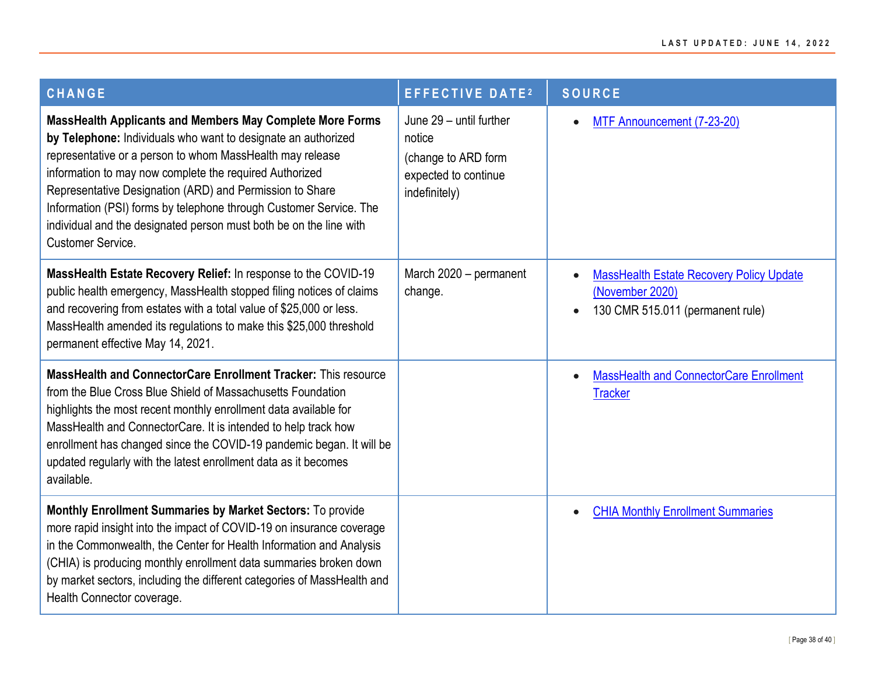| <b>CHANGE</b>                                                                                                                                                                                                                                                                                                                                                                                                                                                                          | <b>EFFECTIVE DATE2</b>                                                                            | <b>SOURCE</b>                                                                                                       |
|----------------------------------------------------------------------------------------------------------------------------------------------------------------------------------------------------------------------------------------------------------------------------------------------------------------------------------------------------------------------------------------------------------------------------------------------------------------------------------------|---------------------------------------------------------------------------------------------------|---------------------------------------------------------------------------------------------------------------------|
| MassHealth Applicants and Members May Complete More Forms<br>by Telephone: Individuals who want to designate an authorized<br>representative or a person to whom MassHealth may release<br>information to may now complete the required Authorized<br>Representative Designation (ARD) and Permission to Share<br>Information (PSI) forms by telephone through Customer Service. The<br>individual and the designated person must both be on the line with<br><b>Customer Service.</b> | June 29 - until further<br>notice<br>(change to ARD form<br>expected to continue<br>indefinitely) | MTF Announcement (7-23-20)                                                                                          |
| MassHealth Estate Recovery Relief: In response to the COVID-19<br>public health emergency, MassHealth stopped filing notices of claims<br>and recovering from estates with a total value of \$25,000 or less.<br>MassHealth amended its regulations to make this \$25,000 threshold<br>permanent effective May 14, 2021.                                                                                                                                                               | March 2020 - permanent<br>change.                                                                 | <b>MassHealth Estate Recovery Policy Update</b><br>(November 2020)<br>130 CMR 515.011 (permanent rule)<br>$\bullet$ |
| MassHealth and ConnectorCare Enrollment Tracker: This resource<br>from the Blue Cross Blue Shield of Massachusetts Foundation<br>highlights the most recent monthly enrollment data available for<br>MassHealth and ConnectorCare. It is intended to help track how<br>enrollment has changed since the COVID-19 pandemic began. It will be<br>updated regularly with the latest enrollment data as it becomes<br>available.                                                           |                                                                                                   | <b>MassHealth and ConnectorCare Enrollment</b><br>$\bullet$<br><b>Tracker</b>                                       |
| Monthly Enrollment Summaries by Market Sectors: To provide<br>more rapid insight into the impact of COVID-19 on insurance coverage<br>in the Commonwealth, the Center for Health Information and Analysis<br>(CHIA) is producing monthly enrollment data summaries broken down<br>by market sectors, including the different categories of MassHealth and<br>Health Connector coverage.                                                                                                |                                                                                                   | <b>CHIA Monthly Enrollment Summaries</b><br>$\bullet$                                                               |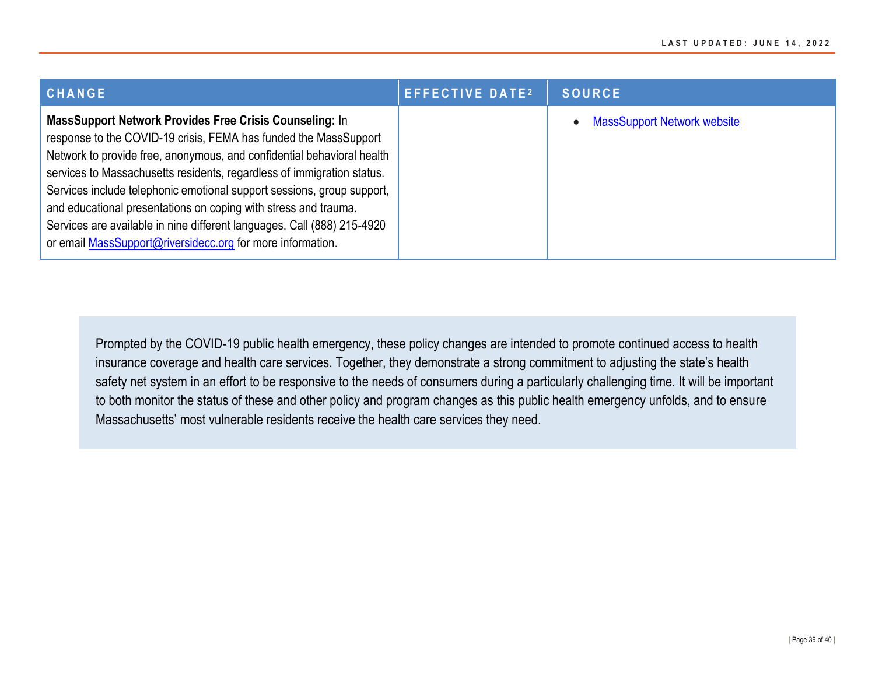| CHANGE                                                                                                                                                                                                                                                                                                                                                                                                                                                                                                                                                                | <b>EFFECTIVE DATE2</b> | <b>SOURCE</b>                      |
|-----------------------------------------------------------------------------------------------------------------------------------------------------------------------------------------------------------------------------------------------------------------------------------------------------------------------------------------------------------------------------------------------------------------------------------------------------------------------------------------------------------------------------------------------------------------------|------------------------|------------------------------------|
| MassSupport Network Provides Free Crisis Counseling: In<br>response to the COVID-19 crisis, FEMA has funded the MassSupport<br>Network to provide free, anonymous, and confidential behavioral health<br>services to Massachusetts residents, regardless of immigration status.<br>Services include telephonic emotional support sessions, group support,<br>and educational presentations on coping with stress and trauma.<br>Services are available in nine different languages. Call (888) 215-4920<br>or email MassSupport@riversidecc.org for more information. |                        | <b>MassSupport Network website</b> |

Prompted by the COVID-19 public health emergency, these policy changes are intended to promote continued access to health insurance coverage and health care services. Together, they demonstrate a strong commitment to adjusting the state's health safety net system in an effort to be responsive to the needs of consumers during a particularly challenging time. It will be important to both monitor the status of these and other policy and program changes as this public health emergency unfolds, and to ensure Massachusetts' most vulnerable residents receive the health care services they need.